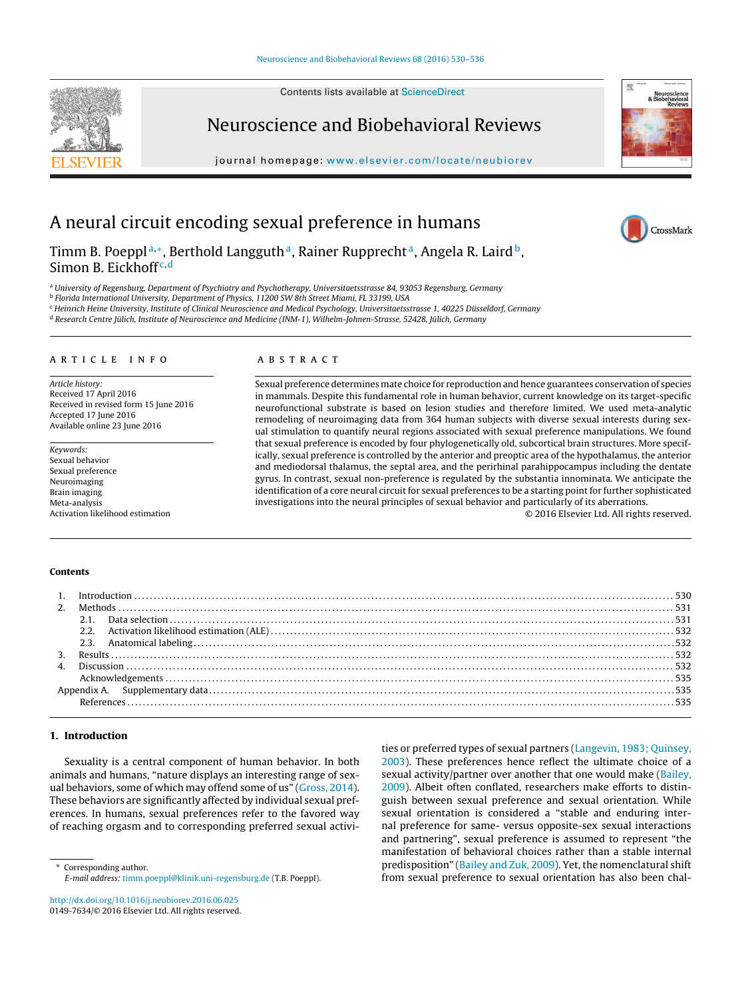Contents lists available at [ScienceDirect](http://www.sciencedirect.com/science/journal/01497634)

# Neuroscience and Biobehavioral Reviews

journal homepage: [www.elsevier.com/locate/neubiorev](http://www.elsevier.com/locate/neubiorev)



CrossMark

# A neural circuit encoding sexual preference in humans

Timm B. Poeppl<sup>a,∗</sup>, Berthold Langguth<sup>a</sup>, Rainer Rupprecht<sup>a</sup>, Angela R. Laird<sup>b</sup>, Simon B. Eickhoff<sup>c,d</sup>

<sup>a</sup> University of Regensburg, Department of Psychiatry and Psychotherapy, Universitaetsstrasse 84, 93053 Regensburg, Germany

<sup>b</sup> Florida International University, Department of Physics, 11200 SW 8th Street Miami, FL 33199, USA

<sup>c</sup> Heinrich Heine University, Institute of Clinical Neuroscience and Medical Psychology, Universitaetsstrasse 1, 40225 Düsseldorf, Germany

<sup>d</sup> Research Centre Jülich, Institute of Neuroscience and Medicine (INM-1), Wilhelm-Johnen-Strasse, 52428, Jülich, Germany

#### a r t i c l e i n f o

Article history: Received 17 April 2016 Received in revised form 15 June 2016 Accepted 17 June 2016 Available online 23 June 2016

Keywords: Sexual behavior Sexual preference Neuroimaging Brain imaging Meta-analysis Activation likelihood estimation

#### A B S T R A C T

Sexual preference determines mate choice for reproduction and hence guarantees conservation of species in mammals. Despite this fundamental role in human behavior, current knowledge on its target-specific neurofunctional substrate is based on lesion studies and therefore limited. We used meta-analytic remodeling of neuroimaging data from 364 human subjects with diverse sexual interests during sexual stimulation to quantify neural regions associated with sexual preference manipulations. We found that sexual preference is encoded by four phylogenetically old, subcortical brain structures. More specifically, sexual preference is controlled by the anterior and preoptic area of the hypothalamus, the anterior and mediodorsal thalamus, the septal area, and the perirhinal parahippocampus including the dentate gyrus. In contrast, sexual non-preference is regulated by the substantia innominata. We anticipate the identification of a core neural circuit for sexual preferences to be a starting point for further sophisticated investigations into the neural principles of sexual behavior and particularly of its aberrations. © 2016 Elsevier Ltd. All rights reserved.

#### **Contents**

# **1. Introduction**

Sexuality is a central component of human behavior. In both animals and humans, "nature displays an interesting range of sexual behaviors, some of which may offend some of us" [\(Gross,](#page-5-0) [2014\).](#page-5-0) These behaviors are significantly affected by individual sexual preferences. In humans, sexual preferences refer to the favored way of reaching orgasm and to corresponding preferred sexual activi-

∗ Corresponding author. E-mail address: [timm.poeppl@klinik.uni-regensburg.de](mailto:timm.poeppl@klinik.uni-regensburg.de) (T.B. Poeppl).

[http://dx.doi.org/10.1016/j.neubiorev.2016.06.025](dx.doi.org/10.1016/j.neubiorev.2016.06.025) 0149-7634/© 2016 Elsevier Ltd. All rights reserved. ties or preferred types of sexual partners [\(Langevin,](#page-5-0) [1983;](#page-5-0) [Quinsey,](#page-5-0) [2003\).](#page-5-0) These preferences hence reflect the ultimate choice of a sexual activity/partner over another that one would make ([Bailey,](#page-5-0) [2009\).](#page-5-0) Albeit often conflated, researchers make efforts to distinguish between sexual preference and sexual orientation. While sexual orientation is considered a "stable and enduring internal preference for same- versus opposite-sex sexual interactions and partnering", sexual preference is assumed to represent "the manifestation of behavioral choices rather than a stable internal predisposition" ([Bailey](#page-5-0) [and](#page-5-0) [Zuk,](#page-5-0) [2009\).](#page-5-0) Yet, the nomenclatural shift from sexual preference to sexual orientation has also been chal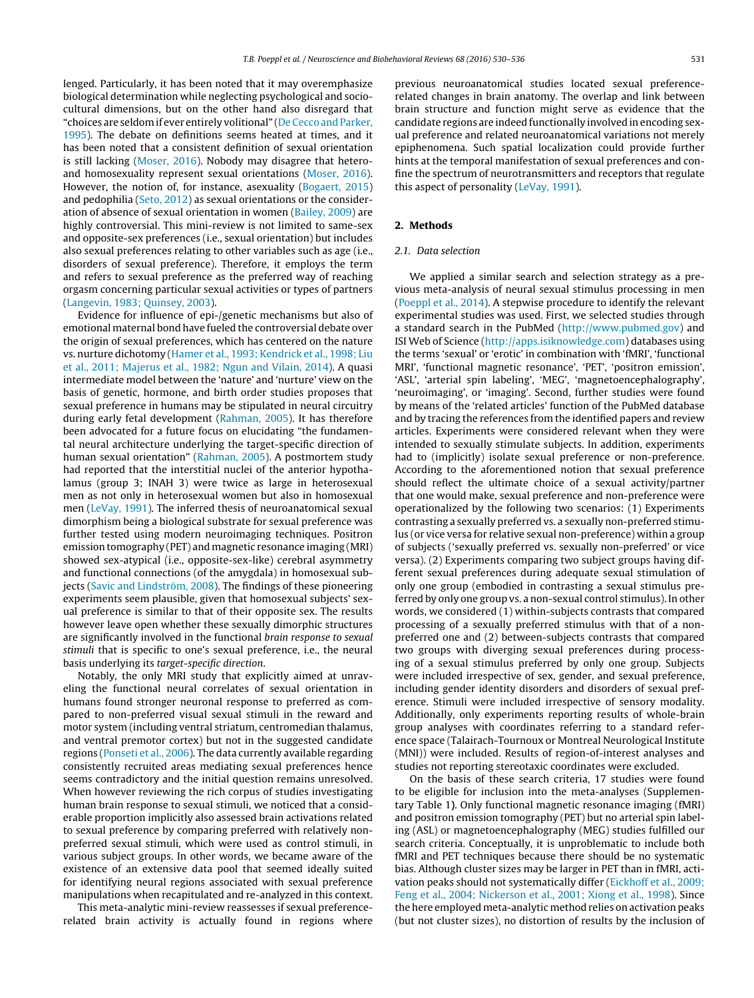lenged. Particularly, it has been noted that it may overemphasize biological determination while neglecting psychological and sociocultural dimensions, but on the other hand also disregard that "choices are seldom if ever entirely volitional" (De Cecco and Parker, [1995\).](#page-5-0) The debate on definitions seems heated at times, and it has been noted that a consistent definition of sexual orientation is still lacking [\(Moser,](#page-5-0) [2016\).](#page-5-0) Nobody may disagree that heteroand homosexuality represent sexual orientations ([Moser,](#page-5-0) [2016\).](#page-5-0) However, the notion of, for instance, asexuality [\(Bogaert,](#page-5-0) [2015\)](#page-5-0) and pedophilia ([Seto,](#page-5-0) [2012\)](#page-5-0) as sexual orientations or the consideration of absence of sexual orientation in women ([Bailey,](#page-5-0) [2009\)](#page-5-0) are highly controversial. This mini-review is not limited to same-sex and opposite-sex preferences (i.e., sexual orientation) but includes also sexual preferences relating to other variables such as age (i.e., disorders of sexual preference). Therefore, it employs the term and refers to sexual preference as the preferred way of reaching orgasm concerning particular sexual activities or types of partners ([Langevin,](#page-5-0) [1983;](#page-5-0) [Quinsey,](#page-5-0) [2003\).](#page-5-0)

Evidence for influence of epi-/genetic mechanisms but also of emotional maternal bond have fueled the controversial debate over the origin of sexual preferences, which has centered on the nature vs. nurture dichotomy ([Hamer](#page-5-0) et [al.,](#page-5-0) [1993;](#page-5-0) [Kendrick](#page-5-0) et [al.,](#page-5-0) [1998;](#page-5-0) [Liu](#page-5-0) et [al.,](#page-5-0) [2011;](#page-5-0) [Majerus](#page-5-0) et [al.,](#page-5-0) [1982;](#page-5-0) [Ngun](#page-5-0) [and](#page-5-0) [Vilain,](#page-5-0) [2014\).](#page-5-0) A quasi intermediate model between the 'nature' and 'nurture' view on the basis of genetic, hormone, and birth order studies proposes that sexual preference in humans may be stipulated in neural circuitry during early fetal development [\(Rahman,](#page-5-0) [2005\).](#page-5-0) It has therefore been advocated for a future focus on elucidating "the fundamental neural architecture underlying the target-specific direction of human sexual orientation" ([Rahman,](#page-5-0) [2005\).](#page-5-0) A postmortem study had reported that the interstitial nuclei of the anterior hypothalamus (group 3; INAH 3) were twice as large in heterosexual men as not only in heterosexual women but also in homosexual men [\(LeVay,](#page-5-0) [1991\).](#page-5-0) The inferred thesis of neuroanatomical sexual dimorphism being a biological substrate for sexual preference was further tested using modern neuroimaging techniques. Positron emission tomography (PET) and magnetic resonance imaging (MRI) showed sex-atypical (i.e., opposite-sex-like) cerebral asymmetry and functional connections (of the amygdala) in homosexual subjects [\(Savic](#page-5-0) [and](#page-5-0) [Lindström,](#page-5-0) [2008\).](#page-5-0) The findings of these pioneering experiments seem plausible, given that homosexual subjects' sexual preference is similar to that of their opposite sex. The results however leave open whether these sexually dimorphic structures are significantly involved in the functional brain response to sexual stimuli that is specific to one's sexual preference, i.e., the neural basis underlying its target-specific direction.

Notably, the only MRI study that explicitly aimed at unraveling the functional neural correlates of sexual orientation in humans found stronger neuronal response to preferred as compared to non-preferred visual sexual stimuli in the reward and motor system (including ventral striatum, centromedian thalamus, and ventral premotor cortex) but not in the suggested candidate regions [\(Ponseti](#page-5-0) et [al.,](#page-5-0) [2006\).](#page-5-0) The data currently available regarding consistently recruited areas mediating sexual preferences hence seems contradictory and the initial question remains unresolved. When however reviewing the rich corpus of studies investigating human brain response to sexual stimuli, we noticed that a considerable proportion implicitly also assessed brain activations related to sexual preference by comparing preferred with relatively nonpreferred sexual stimuli, which were used as control stimuli, in various subject groups. In other words, we became aware of the existence of an extensive data pool that seemed ideally suited for identifying neural regions associated with sexual preference manipulations when recapitulated and re-analyzed in this context.

This meta-analytic mini-review reassesses if sexual preferencerelated brain activity is actually found in regions where previous neuroanatomical studies located sexual preferencerelated changes in brain anatomy. The overlap and link between brain structure and function might serve as evidence that the candidate regions are indeed functionally involved in encoding sexual preference and related neuroanatomical variations not merely epiphenomena. Such spatial localization could provide further hints at the temporal manifestation of sexual preferences and confine the spectrum of neurotransmitters and receptors that regulate this aspect of personality ([LeVay,](#page-5-0) [1991\).](#page-5-0)

# **2. Methods**

# 2.1. Data selection

We applied a similar search and selection strategy as a previous meta-analysis of neural sexual stimulus processing in men [\(Poeppl](#page-5-0) et [al.,](#page-5-0) [2014\).](#page-5-0) A stepwise procedure to identify the relevant experimental studies was used. First, we selected studies through a standard search in the PubMed (<http://www.pubmed.gov>) and ISI Web of Science [\(http://apps.isiknowledge.com](http://apps.isiknowledge.com)) databases using the terms 'sexual' or 'erotic' in combination with 'fMRI', 'functional MRI', 'functional magnetic resonance', 'PET', 'positron emission', 'ASL', 'arterial spin labeling', 'MEG', 'magnetoencephalography', 'neuroimaging', or 'imaging'. Second, further studies were found by means of the 'related articles' function of the PubMed database and by tracing the references from the identified papers and review articles. Experiments were considered relevant when they were intended to sexually stimulate subjects. In addition, experiments had to (implicitly) isolate sexual preference or non-preference. According to the aforementioned notion that sexual preference should reflect the ultimate choice of a sexual activity/partner that one would make, sexual preference and non-preference were operationalized by the following two scenarios: (1) Experiments contrasting a sexually preferred vs. a sexually non-preferred stimulus (or vice versa for relative sexual non-preference) within a group of subjects ('sexually preferred vs. sexually non-preferred' or vice versa). (2) Experiments comparing two subject groups having different sexual preferences during adequate sexual stimulation of only one group (embodied in contrasting a sexual stimulus preferred by only one group vs. a non-sexual control stimulus). In other words, we considered (1) within-subjects contrasts that compared processing of a sexually preferred stimulus with that of a nonpreferred one and (2) between-subjects contrasts that compared two groups with diverging sexual preferences during processing of a sexual stimulus preferred by only one group. Subjects were included irrespective of sex, gender, and sexual preference, including gender identity disorders and disorders of sexual preference. Stimuli were included irrespective of sensory modality. Additionally, only experiments reporting results of whole-brain group analyses with coordinates referring to a standard reference space (Talairach-Tournoux or Montreal Neurological Institute (MNI)) were included. Results of region-of-interest analyses and studies not reporting stereotaxic coordinates were excluded.

On the basis of these search criteria, 17 studies were found to be eligible for inclusion into the meta-analyses (Supplementary Table 1**)**. Only functional magnetic resonance imaging (fMRI) and positron emission tomography (PET) but no arterial spin labeling (ASL) or magnetoencephalography (MEG) studies fulfilled our search criteria. Conceptually, it is unproblematic to include both fMRI and PET techniques because there should be no systematic bias. Although cluster sizes may be larger in PET than in fMRI, activation peaks should not systematically differ ([Eickhoff](#page-5-0) et [al.,](#page-5-0) [2009;](#page-5-0) [Feng](#page-5-0) et [al.,](#page-5-0) [2004;](#page-5-0) [Nickerson](#page-5-0) et [al.,](#page-5-0) [2001;](#page-5-0) [Xiong](#page-5-0) et [al.,](#page-5-0) [1998\).](#page-5-0) Since the here employed meta-analytic method relies on activation peaks (but not cluster sizes), no distortion of results by the inclusion of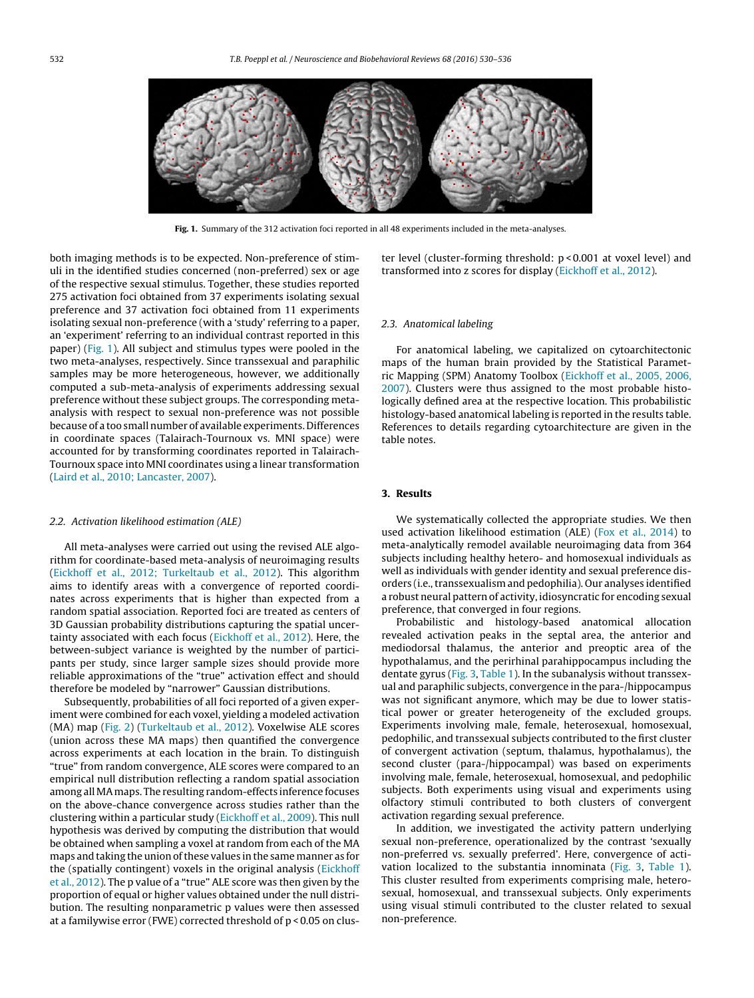

**Fig. 1.** Summary of the 312 activation foci reported in all 48 experiments included in the meta-analyses.

both imaging methods is to be expected. Non-preference of stimuli in the identified studies concerned (non-preferred) sex or age of the respective sexual stimulus. Together, these studies reported 275 activation foci obtained from 37 experiments isolating sexual preference and 37 activation foci obtained from 11 experiments isolating sexual non-preference (with a 'study' referring to a paper, an 'experiment' referring to an individual contrast reported in this paper) (Fig. 1). All subject and stimulus types were pooled in the two meta-analyses, respectively. Since transsexual and paraphilic samples may be more heterogeneous, however, we additionally computed a sub-meta-analysis of experiments addressing sexual preference without these subject groups. The corresponding metaanalysis with respect to sexual non-preference was not possible because of a too small number of available experiments. Differences in coordinate spaces (Talairach-Tournoux vs. MNI space) were accounted for by transforming coordinates reported in Talairach-Tournoux space into MNI coordinates using a linear transformation ([Laird](#page-5-0) et [al.,](#page-5-0) [2010;](#page-5-0) [Lancaster,](#page-5-0) [2007\).](#page-5-0)

### 2.2. Activation likelihood estimation (ALE)

All meta-analyses were carried out using the revised ALE algorithm for coordinate-based meta-analysis of neuroimaging results ([Eickhoff](#page-5-0) et [al.,](#page-5-0) [2012;](#page-5-0) [Turkeltaub](#page-5-0) et [al.,](#page-5-0) [2012\).](#page-5-0) This algorithm aims to identify areas with a convergence of reported coordinates across experiments that is higher than expected from a random spatial association. Reported foci are treated as centers of 3D Gaussian probability distributions capturing the spatial uncertainty associated with each focus [\(Eickhoff](#page-5-0) et [al.,](#page-5-0) [2012\).](#page-5-0) Here, the between-subject variance is weighted by the number of participants per study, since larger sample sizes should provide more reliable approximations of the "true" activation effect and should therefore be modeled by "narrower" Gaussian distributions.

Subsequently, probabilities of all foci reported of a given experiment were combined for each voxel, yielding a modeled activation (MA) map ([Fig.](#page-3-0) 2) [\(Turkeltaub](#page-6-0) et [al.,](#page-6-0) [2012\).](#page-6-0) Voxelwise ALE scores (union across these MA maps) then quantified the convergence across experiments at each location in the brain. To distinguish "true" from random convergence, ALE scores were compared to an empirical null distribution reflecting a random spatial association among allMAmaps. The resulting random-effects inference focuses on the above-chance convergence across studies rather than the clustering within a particular study [\(Eickhoff](#page-5-0) et [al.,](#page-5-0) [2009\).](#page-5-0) This null hypothesis was derived by computing the distribution that would be obtained when sampling a voxel at random from each of the MA maps and taking the union of these values in the same manner as for the (spatially contingent) voxels in the original analysis [\(Eickhoff](#page-5-0) et [al.,](#page-5-0) [2012\).](#page-5-0) The p value of a "true" ALE score was then given by the proportion of equal or higher values obtained under the null distribution. The resulting nonparametric p values were then assessed at a familywise error (FWE) corrected threshold of p < 0.05 on cluster level (cluster-forming threshold: p < 0.001 at voxel level) and transformed into z scores for display ([Eickhoff](#page-5-0) et [al.,](#page-5-0) [2012\).](#page-5-0)

#### 2.3. Anatomical labeling

For anatomical labeling, we capitalized on cytoarchitectonic maps of the human brain provided by the Statistical Parametric Mapping (SPM) Anatomy Toolbox ([Eickhoff](#page-5-0) et [al.,](#page-5-0) [2005,](#page-5-0) [2006,](#page-5-0) [2007\).](#page-5-0) Clusters were thus assigned to the most probable histologically defined area at the respective location. This probabilistic histology-based anatomical labeling is reported in the results table. References to details regarding cytoarchitecture are given in the table notes.

# **3. Results**

We systematically collected the appropriate studies. We then used activation likelihood estimation (ALE) [\(Fox](#page-5-0) et [al.,](#page-5-0) [2014\)](#page-5-0) to meta-analytically remodel available neuroimaging data from 364 subjects including healthy hetero- and homosexual individuals as well as individuals with gender identity and sexual preference disorders (i.e., transsexualism and pedophilia). Our analyses identified a robust neural pattern of activity, idiosyncratic for encoding sexual preference, that converged in four regions.

Probabilistic and histology-based anatomical allocation revealed activation peaks in the septal area, the anterior and mediodorsal thalamus, the anterior and preoptic area of the hypothalamus, and the perirhinal parahippocampus including the dentate gyrus [\(Fig.](#page-3-0) 3, [Table](#page-4-0) 1). In the subanalysis without transsexual and paraphilic subjects, convergence in the para-/hippocampus was not significant anymore, which may be due to lower statistical power or greater heterogeneity of the excluded groups. Experiments involving male, female, heterosexual, homosexual, pedophilic, and transsexual subjects contributed to the first cluster of convergent activation (septum, thalamus, hypothalamus), the second cluster (para-/hippocampal) was based on experiments involving male, female, heterosexual, homosexual, and pedophilic subjects. Both experiments using visual and experiments using olfactory stimuli contributed to both clusters of convergent activation regarding sexual preference.

In addition, we investigated the activity pattern underlying sexual non-preference, operationalized by the contrast 'sexually non-preferred vs. sexually preferred'. Here, convergence of activation localized to the substantia innominata ([Fig.](#page-3-0) 3, [Table](#page-4-0) 1). This cluster resulted from experiments comprising male, heterosexual, homosexual, and transsexual subjects. Only experiments using visual stimuli contributed to the cluster related to sexual non-preference.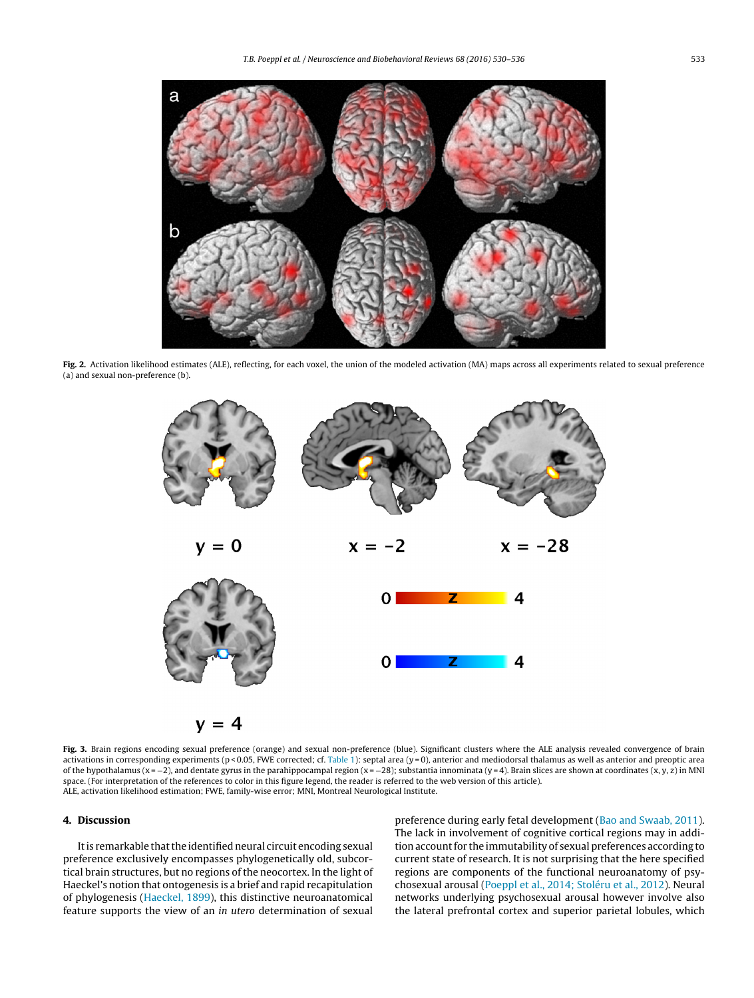<span id="page-3-0"></span>

Fig. 2. Activation likelihood estimates (ALE), reflecting, for each voxel, the union of the modeled activation (MA) maps across all experiments related to sexual preference (a) and sexual non-preference (b).



Fig. 3. Brain regions encoding sexual preference (orange) and sexual non-preference (blue). Significant clusters where the ALE analysis revealed convergence of brain activations in corresponding experiments (p < 0.05, FWE corrected; cf. [Table](#page-4-0) 1): septal area (y = 0), anterior and mediodorsal thalamus as well as anterior and preoptic area of the hypothalamus (x = −2), and dentate gyrus in the parahippocampal region (x = −28); substantia innominata (y = 4). Brain slices are shown at coordinates (x, y, z) in MNI space. (For interpretation of the references to color in this figure legend, the reader is referred to the web version of this article). ALE, activation likelihood estimation; FWE, family-wise error; MNI, Montreal Neurological Institute.

### **4. Discussion**

It is remarkable that the identified neural circuit encoding sexual preference exclusively encompasses phylogenetically old, subcortical brain structures, but no regions of the neocortex. In the light of Haeckel's notion that ontogenesis is a brief and rapid recapitulation of phylogenesis [\(Haeckel,](#page-5-0) [1899\),](#page-5-0) this distinctive neuroanatomical feature supports the view of an in utero determination of sexual

preference during early fetal development [\(Bao](#page-5-0) [and](#page-5-0) [Swaab,](#page-5-0) [2011\).](#page-5-0) The lack in involvement of cognitive cortical regions may in addition account for the immutability of sexual preferences according to current state of research. It is not surprising that the here specified regions are components of the functional neuroanatomy of psychosexual arousal [\(Poeppl](#page-5-0) et [al.,](#page-5-0) [2014;](#page-5-0) [Stoléru](#page-5-0) et [al.,](#page-5-0) [2012\).](#page-5-0) Neural networks underlying psychosexual arousal however involve also the lateral prefrontal cortex and superior parietal lobules, which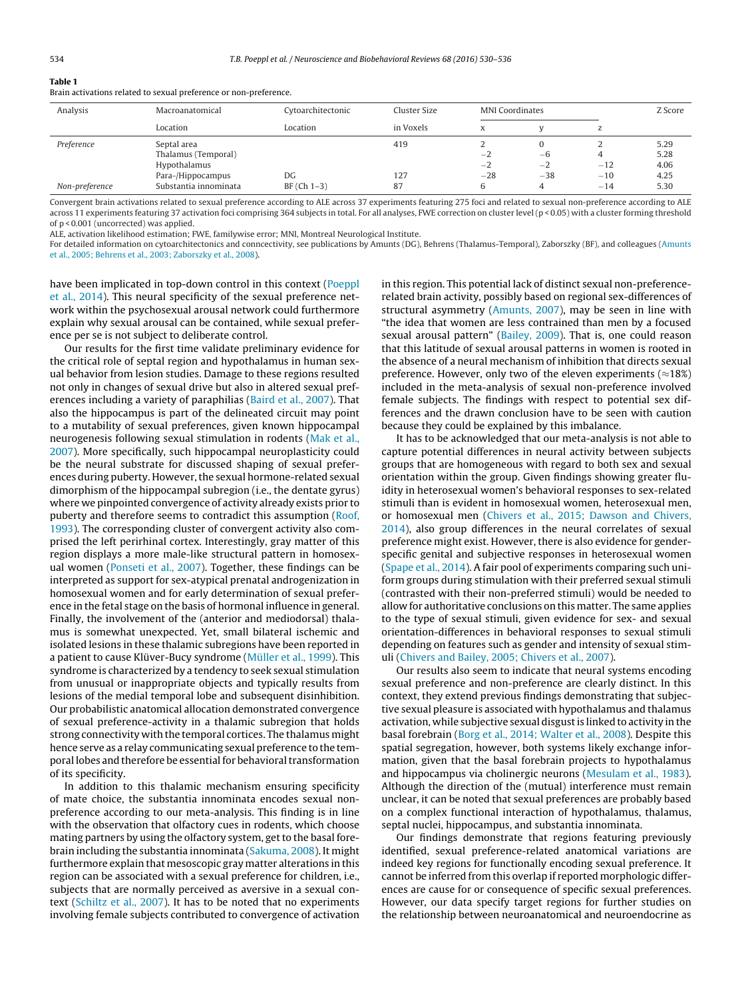<span id="page-4-0"></span>

|  | п |  |
|--|---|--|

Brain activations related to sexual preference or non-preference.

| Analysis       | Macroanatomical       | Cytoarchitectonic | Cluster Size | <b>MNI</b> Coordinates |       |       | Z Score |
|----------------|-----------------------|-------------------|--------------|------------------------|-------|-------|---------|
|                | Location              | Location          | in Voxels    | $\mathbf v$<br>A       |       | L     |         |
| Preference     | Septal area           |                   | 419          |                        | 0     |       | 5.29    |
|                | Thalamus (Temporal)   |                   |              | $-2$                   | $-6$  |       | 5.28    |
|                | Hypothalamus          |                   |              | $-2$                   | $-2$  | $-12$ | 4.06    |
|                | Para-/Hippocampus     | DG                | 127          | $-28$                  | $-38$ | $-10$ | 4.25    |
| Non-preference | Substantia innominata | $BF(Ch 1-3)$      | 87           |                        | 4     | $-14$ | 5.30    |

Convergent brain activations related to sexual preference according to ALE across 37 experiments featuring 275 foci and related to sexual non-preference according to ALE across 11 experiments featuring 37 activation foci comprising 364 subjects in total. For all analyses, FWE correction on cluster level (p < 0.05) with a cluster forming threshold of p < 0.001 (uncorrected) was applied.

ALE, activation likelihood estimation; FWE, familywise error; MNI, Montreal Neurological Institute.

For detailed information on cytoarchitectonics and conncectivity, see publications by Amunts (DG), Behrens (Thalamus-Temporal), Zaborszky (BF), and colleagues ([Amunts](#page-5-0) et [al.,](#page-5-0) [2005;](#page-5-0) [Behrens](#page-5-0) et [al.,](#page-5-0) [2003;](#page-5-0) [Zaborszky](#page-5-0) et [al.,](#page-5-0) [2008\).](#page-5-0)

have been implicated in top-down control in this context [\(Poeppl](#page-5-0) et [al.,](#page-5-0) [2014\).](#page-5-0) This neural specificity of the sexual preference network within the psychosexual arousal network could furthermore explain why sexual arousal can be contained, while sexual preference per se is not subject to deliberate control.

Our results for the first time validate preliminary evidence for the critical role of septal region and hypothalamus in human sexual behavior from lesion studies. Damage to these regions resulted not only in changes of sexual drive but also in altered sexual preferences including a variety of paraphilias ([Baird](#page-5-0) et [al.,](#page-5-0) [2007\).](#page-5-0) That also the hippocampus is part of the delineated circuit may point to a mutability of sexual preferences, given known hippocampal neurogenesis following sexual stimulation in rodents [\(Mak](#page-5-0) et [al.,](#page-5-0) [2007\).](#page-5-0) More specifically, such hippocampal neuroplasticity could be the neural substrate for discussed shaping of sexual preferences during puberty. However, the sexual hormone-related sexual dimorphism of the hippocampal subregion (i.e., the dentate gyrus) where we pinpointed convergence of activity already exists prior to puberty and therefore seems to contradict this assumption [\(Roof,](#page-5-0) [1993\).](#page-5-0) The corresponding cluster of convergent activity also comprised the left perirhinal cortex. Interestingly, gray matter of this region displays a more male-like structural pattern in homosexual women [\(Ponseti](#page-5-0) et [al.,](#page-5-0) [2007\).](#page-5-0) Together, these findings can be interpreted as support for sex-atypical prenatal androgenization in homosexual women and for early determination of sexual preference in the fetal stage on the basis of hormonal influence in general. Finally, the involvement of the (anterior and mediodorsal) thalamus is somewhat unexpected. Yet, small bilateral ischemic and isolated lesions in these thalamic subregions have been reported in a patient to cause Klüver-Bucy syndrome [\(Müller](#page-5-0) et [al.,](#page-5-0) [1999\).](#page-5-0) This syndrome is characterized by a tendency to seek sexual stimulation from unusual or inappropriate objects and typically results from lesions of the medial temporal lobe and subsequent disinhibition. Our probabilistic anatomical allocation demonstrated convergence of sexual preference-activity in a thalamic subregion that holds strong connectivity with the temporal cortices. The thalamus might hence serve as a relay communicating sexual preference to the temporal lobes and therefore be essential for behavioral transformation of its specificity.

In addition to this thalamic mechanism ensuring specificity of mate choice, the substantia innominata encodes sexual nonpreference according to our meta-analysis. This finding is in line with the observation that olfactory cues in rodents, which choose mating partners by using the olfactory system, get to the basal forebrain including the substantia innominata [\(Sakuma,](#page-5-0) [2008\).](#page-5-0) It might furthermore explain that mesoscopic gray matter alterations in this region can be associated with a sexual preference for children, i.e., subjects that are normally perceived as aversive in a sexual context [\(Schiltz](#page-5-0) et [al.,](#page-5-0) [2007\).](#page-5-0) It has to be noted that no experiments involving female subjects contributed to convergence of activation

in this region. This potential lack of distinct sexual non-preferencerelated brain activity, possibly based on regional sex-differences of structural asymmetry ([Amunts,](#page-5-0) [2007\),](#page-5-0) may be seen in line with "the idea that women are less contrained than men by a focused sexual arousal pattern" [\(Bailey,](#page-5-0) [2009\).](#page-5-0) That is, one could reason that this latitude of sexual arousal patterns in women is rooted in the absence of a neural mechanism of inhibition that directs sexual preference. However, only two of the eleven experiments ( $\approx$ 18%) included in the meta-analysis of sexual non-preference involved female subjects. The findings with respect to potential sex differences and the drawn conclusion have to be seen with caution because they could be explained by this imbalance.

It has to be acknowledged that our meta-analysis is not able to capture potential differences in neural activity between subjects groups that are homogeneous with regard to both sex and sexual orientation within the group. Given findings showing greater fluidity in heterosexual women's behavioral responses to sex-related stimuli than is evident in homosexual women, heterosexual men, or homosexual men [\(Chivers](#page-5-0) et [al.,](#page-5-0) [2015;](#page-5-0) [Dawson](#page-5-0) [and](#page-5-0) [Chivers,](#page-5-0) [2014\),](#page-5-0) also group differences in the neural correlates of sexual preference might exist. However, there is also evidence for genderspecific genital and subjective responses in heterosexual women [\(Spape](#page-6-0) et [al.,](#page-6-0) [2014\).](#page-6-0) A fair pool of experiments comparing such uniform groups during stimulation with their preferred sexual stimuli (contrasted with their non-preferred stimuli) would be needed to allow for authoritative conclusions on this matter. The same applies to the type of sexual stimuli, given evidence for sex- and sexual orientation-differences in behavioral responses to sexual stimuli depending on features such as gender and intensity of sexual stimuli [\(Chivers](#page-5-0) [and](#page-5-0) [Bailey,](#page-5-0) [2005;](#page-5-0) [Chivers](#page-5-0) [et](#page-5-0) [al.,](#page-5-0) [2007\).](#page-5-0)

Our results also seem to indicate that neural systems encoding sexual preference and non-preference are clearly distinct. In this context, they extend previous findings demonstrating that subjective sexual pleasure is associated with hypothalamus and thalamus activation, while subjective sexual disgustis linked to activity in the basal forebrain ([Borg](#page-5-0) et [al.,](#page-5-0) [2014;](#page-5-0) [Walter](#page-5-0) et [al.,](#page-5-0) [2008\).](#page-5-0) Despite this spatial segregation, however, both systems likely exchange information, given that the basal forebrain projects to hypothalamus and hippocampus via cholinergic neurons ([Mesulam](#page-5-0) et [al.,](#page-5-0) [1983\).](#page-5-0) Although the direction of the (mutual) interference must remain unclear, it can be noted that sexual preferences are probably based on a complex functional interaction of hypothalamus, thalamus, septal nuclei, hippocampus, and substantia innominata.

Our findings demonstrate that regions featuring previously identified, sexual preference-related anatomical variations are indeed key regions for functionally encoding sexual preference. It cannot be inferred from this overlap if reported morphologic differences are cause for or consequence of specific sexual preferences. However, our data specify target regions for further studies on the relationship between neuroanatomical and neuroendocrine as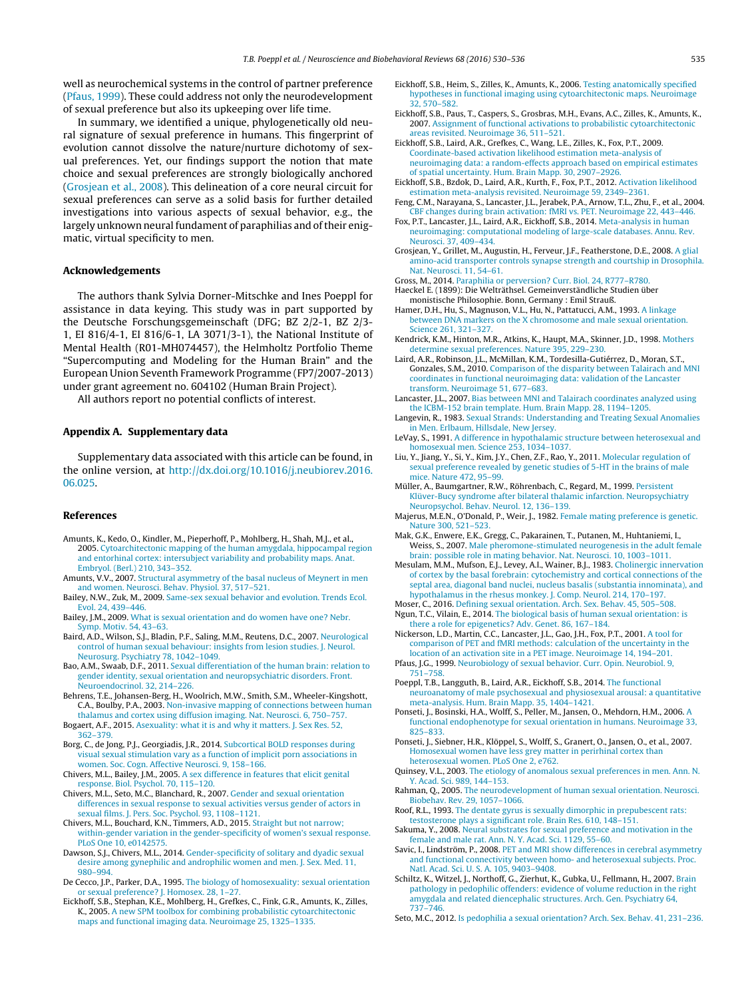<span id="page-5-0"></span>well as neurochemical systems in the control of partner preference (Pfaus, 1999). These could address not only the neurodevelopment of sexual preference but also its upkeeping over life time.

In summary, we identified a unique, phylogenetically old neural signature of sexual preference in humans. This fingerprint of evolution cannot dissolve the nature/nurture dichotomy of sexual preferences. Yet, our findings support the notion that mate choice and sexual preferences are strongly biologically anchored (Grosjean et al., 2008). This delineation of a core neural circuit for sexual preferences can serve as a solid basis for further detailed investigations into various aspects of sexual behavior, e.g., the largely unknown neural fundament of paraphilias and of their enigmatic, virtual specificity to men.

### **Acknowledgements**

The authors thank Sylvia Dorner-Mitschke and Ines Poeppl for assistance in data keying. This study was in part supported by the Deutsche Forschungsgemeinschaft (DFG; BZ 2/2-1, BZ 2/3- 1, EI 816/4-1, EI 816/6-1, LA 3071/3-1), the National Institute of Mental Health (R01-MH074457), the Helmholtz Portfolio Theme "Supercomputing and Modeling for the Human Brain" and the European Union Seventh Framework Programme (FP7/2007-2013) under grant agreement no. 604102 (Human Brain Project).

All authors report no potential conflicts of interest.

# **Appendix A. Supplementary data**

Supplementary data associated with this article can be found, in the online version, at [http://dx.doi.org/10.1016/j.neubiorev.2016.](http://dx.doi.org/10.1016/j.neubiorev.2016.06.025) [06.025.](http://dx.doi.org/10.1016/j.neubiorev.2016.06.025)

#### **References**

- Amunts, K., Kedo, O., Kindler, M., Pieperhoff, P., Mohlberg, H., Shah, M.J., et al., 2005. [Cytoarchitectonic](http://refhub.elsevier.com/S0149-7634(16)30234-2/sbref0005) [mapping](http://refhub.elsevier.com/S0149-7634(16)30234-2/sbref0005) [of](http://refhub.elsevier.com/S0149-7634(16)30234-2/sbref0005) [the](http://refhub.elsevier.com/S0149-7634(16)30234-2/sbref0005) [human](http://refhub.elsevier.com/S0149-7634(16)30234-2/sbref0005) [amygdala,](http://refhub.elsevier.com/S0149-7634(16)30234-2/sbref0005) [hippocampal](http://refhub.elsevier.com/S0149-7634(16)30234-2/sbref0005) [region](http://refhub.elsevier.com/S0149-7634(16)30234-2/sbref0005) [and](http://refhub.elsevier.com/S0149-7634(16)30234-2/sbref0005) [entorhinal](http://refhub.elsevier.com/S0149-7634(16)30234-2/sbref0005) [cortex:](http://refhub.elsevier.com/S0149-7634(16)30234-2/sbref0005) [intersubject](http://refhub.elsevier.com/S0149-7634(16)30234-2/sbref0005) [variability](http://refhub.elsevier.com/S0149-7634(16)30234-2/sbref0005) [and](http://refhub.elsevier.com/S0149-7634(16)30234-2/sbref0005) [probability](http://refhub.elsevier.com/S0149-7634(16)30234-2/sbref0005) [maps.](http://refhub.elsevier.com/S0149-7634(16)30234-2/sbref0005) [Anat.](http://refhub.elsevier.com/S0149-7634(16)30234-2/sbref0005) [Embryol.](http://refhub.elsevier.com/S0149-7634(16)30234-2/sbref0005) [\(Berl.\)](http://refhub.elsevier.com/S0149-7634(16)30234-2/sbref0005) [210,](http://refhub.elsevier.com/S0149-7634(16)30234-2/sbref0005) [343–352.](http://refhub.elsevier.com/S0149-7634(16)30234-2/sbref0005)
- Amunts, V.V., 2007. [Structural](http://refhub.elsevier.com/S0149-7634(16)30234-2/sbref0010) [asymmetry](http://refhub.elsevier.com/S0149-7634(16)30234-2/sbref0010) [of](http://refhub.elsevier.com/S0149-7634(16)30234-2/sbref0010) [the](http://refhub.elsevier.com/S0149-7634(16)30234-2/sbref0010) [basal](http://refhub.elsevier.com/S0149-7634(16)30234-2/sbref0010) [nucleus](http://refhub.elsevier.com/S0149-7634(16)30234-2/sbref0010) [of](http://refhub.elsevier.com/S0149-7634(16)30234-2/sbref0010) [Meynert](http://refhub.elsevier.com/S0149-7634(16)30234-2/sbref0010) [in](http://refhub.elsevier.com/S0149-7634(16)30234-2/sbref0010) [men](http://refhub.elsevier.com/S0149-7634(16)30234-2/sbref0010) [and](http://refhub.elsevier.com/S0149-7634(16)30234-2/sbref0010) [women.](http://refhub.elsevier.com/S0149-7634(16)30234-2/sbref0010) [Neurosci.](http://refhub.elsevier.com/S0149-7634(16)30234-2/sbref0010) [Behav.](http://refhub.elsevier.com/S0149-7634(16)30234-2/sbref0010) [Physiol.](http://refhub.elsevier.com/S0149-7634(16)30234-2/sbref0010) [37,](http://refhub.elsevier.com/S0149-7634(16)30234-2/sbref0010) [517](http://refhub.elsevier.com/S0149-7634(16)30234-2/sbref0010)–[521.](http://refhub.elsevier.com/S0149-7634(16)30234-2/sbref0010)
- Bailey, N.W., Zuk, M., 2009. [Same-sex](http://refhub.elsevier.com/S0149-7634(16)30234-2/sbref0015) [sexual](http://refhub.elsevier.com/S0149-7634(16)30234-2/sbref0015) [behavior](http://refhub.elsevier.com/S0149-7634(16)30234-2/sbref0015) [and](http://refhub.elsevier.com/S0149-7634(16)30234-2/sbref0015) [evolution.](http://refhub.elsevier.com/S0149-7634(16)30234-2/sbref0015) [Trends](http://refhub.elsevier.com/S0149-7634(16)30234-2/sbref0015) [Ecol.](http://refhub.elsevier.com/S0149-7634(16)30234-2/sbref0015) [Evol.](http://refhub.elsevier.com/S0149-7634(16)30234-2/sbref0015) [24,](http://refhub.elsevier.com/S0149-7634(16)30234-2/sbref0015) [439–446.](http://refhub.elsevier.com/S0149-7634(16)30234-2/sbref0015)
- Bailey, J.M., 2009. [What](http://refhub.elsevier.com/S0149-7634(16)30234-2/sbref0020) [is](http://refhub.elsevier.com/S0149-7634(16)30234-2/sbref0020) [sexual](http://refhub.elsevier.com/S0149-7634(16)30234-2/sbref0020) [orientation](http://refhub.elsevier.com/S0149-7634(16)30234-2/sbref0020) [and](http://refhub.elsevier.com/S0149-7634(16)30234-2/sbref0020) [do](http://refhub.elsevier.com/S0149-7634(16)30234-2/sbref0020) [women](http://refhub.elsevier.com/S0149-7634(16)30234-2/sbref0020) [have](http://refhub.elsevier.com/S0149-7634(16)30234-2/sbref0020) [one?](http://refhub.elsevier.com/S0149-7634(16)30234-2/sbref0020) [Nebr.](http://refhub.elsevier.com/S0149-7634(16)30234-2/sbref0020) [Symp.](http://refhub.elsevier.com/S0149-7634(16)30234-2/sbref0020) [Motiv.](http://refhub.elsevier.com/S0149-7634(16)30234-2/sbref0020) [54,](http://refhub.elsevier.com/S0149-7634(16)30234-2/sbref0020) [43](http://refhub.elsevier.com/S0149-7634(16)30234-2/sbref0020)–[63.](http://refhub.elsevier.com/S0149-7634(16)30234-2/sbref0020)
- Baird, A.D., Wilson, S.J., Bladin, P.F., Saling, M.M., Reutens, D.C., 2007. [Neurological](http://refhub.elsevier.com/S0149-7634(16)30234-2/sbref0025) [control](http://refhub.elsevier.com/S0149-7634(16)30234-2/sbref0025) [of](http://refhub.elsevier.com/S0149-7634(16)30234-2/sbref0025) [human](http://refhub.elsevier.com/S0149-7634(16)30234-2/sbref0025) [sexual](http://refhub.elsevier.com/S0149-7634(16)30234-2/sbref0025) [behaviour:](http://refhub.elsevier.com/S0149-7634(16)30234-2/sbref0025) [insights](http://refhub.elsevier.com/S0149-7634(16)30234-2/sbref0025) [from](http://refhub.elsevier.com/S0149-7634(16)30234-2/sbref0025) [lesion](http://refhub.elsevier.com/S0149-7634(16)30234-2/sbref0025) [studies.](http://refhub.elsevier.com/S0149-7634(16)30234-2/sbref0025) [J.](http://refhub.elsevier.com/S0149-7634(16)30234-2/sbref0025) [Neurol.](http://refhub.elsevier.com/S0149-7634(16)30234-2/sbref0025) [Neurosurg.](http://refhub.elsevier.com/S0149-7634(16)30234-2/sbref0025) [Psychiatry](http://refhub.elsevier.com/S0149-7634(16)30234-2/sbref0025) [78,](http://refhub.elsevier.com/S0149-7634(16)30234-2/sbref0025) [1042](http://refhub.elsevier.com/S0149-7634(16)30234-2/sbref0025)–[1049.](http://refhub.elsevier.com/S0149-7634(16)30234-2/sbref0025)
- Bao, A.M., Swaab, D.F., 2011. [Sexual](http://refhub.elsevier.com/S0149-7634(16)30234-2/sbref0030) [differentiation](http://refhub.elsevier.com/S0149-7634(16)30234-2/sbref0030) [of](http://refhub.elsevier.com/S0149-7634(16)30234-2/sbref0030) [the](http://refhub.elsevier.com/S0149-7634(16)30234-2/sbref0030) [human](http://refhub.elsevier.com/S0149-7634(16)30234-2/sbref0030) [brain:](http://refhub.elsevier.com/S0149-7634(16)30234-2/sbref0030) [relation](http://refhub.elsevier.com/S0149-7634(16)30234-2/sbref0030) [to](http://refhub.elsevier.com/S0149-7634(16)30234-2/sbref0030) [gender](http://refhub.elsevier.com/S0149-7634(16)30234-2/sbref0030) [identity,](http://refhub.elsevier.com/S0149-7634(16)30234-2/sbref0030) [sexual](http://refhub.elsevier.com/S0149-7634(16)30234-2/sbref0030) [orientation](http://refhub.elsevier.com/S0149-7634(16)30234-2/sbref0030) [and](http://refhub.elsevier.com/S0149-7634(16)30234-2/sbref0030) [neuropsychiatric](http://refhub.elsevier.com/S0149-7634(16)30234-2/sbref0030) [disorders.](http://refhub.elsevier.com/S0149-7634(16)30234-2/sbref0030) [Front.](http://refhub.elsevier.com/S0149-7634(16)30234-2/sbref0030) [Neuroendocrinol.](http://refhub.elsevier.com/S0149-7634(16)30234-2/sbref0030) [32,](http://refhub.elsevier.com/S0149-7634(16)30234-2/sbref0030) [214–226.](http://refhub.elsevier.com/S0149-7634(16)30234-2/sbref0030)
- Behrens, T.E., Johansen-Berg, H., Woolrich, M.W., Smith, S.M., Wheeler-Kingshott, C.A., Boulby, P.A., 2003. [Non-invasive](http://refhub.elsevier.com/S0149-7634(16)30234-2/sbref0035) [mapping](http://refhub.elsevier.com/S0149-7634(16)30234-2/sbref0035) [of](http://refhub.elsevier.com/S0149-7634(16)30234-2/sbref0035) [connections](http://refhub.elsevier.com/S0149-7634(16)30234-2/sbref0035) [between](http://refhub.elsevier.com/S0149-7634(16)30234-2/sbref0035) [human](http://refhub.elsevier.com/S0149-7634(16)30234-2/sbref0035) [thalamus](http://refhub.elsevier.com/S0149-7634(16)30234-2/sbref0035) [and](http://refhub.elsevier.com/S0149-7634(16)30234-2/sbref0035) [cortex](http://refhub.elsevier.com/S0149-7634(16)30234-2/sbref0035) [using](http://refhub.elsevier.com/S0149-7634(16)30234-2/sbref0035) [diffusion](http://refhub.elsevier.com/S0149-7634(16)30234-2/sbref0035) [imaging.](http://refhub.elsevier.com/S0149-7634(16)30234-2/sbref0035) [Nat.](http://refhub.elsevier.com/S0149-7634(16)30234-2/sbref0035) [Neurosci.](http://refhub.elsevier.com/S0149-7634(16)30234-2/sbref0035) [6,](http://refhub.elsevier.com/S0149-7634(16)30234-2/sbref0035) [750–757.](http://refhub.elsevier.com/S0149-7634(16)30234-2/sbref0035)
- Bogaert, A.F., 2015. [Asexuality:](http://refhub.elsevier.com/S0149-7634(16)30234-2/sbref0040) [what](http://refhub.elsevier.com/S0149-7634(16)30234-2/sbref0040) [it](http://refhub.elsevier.com/S0149-7634(16)30234-2/sbref0040) [is](http://refhub.elsevier.com/S0149-7634(16)30234-2/sbref0040) [and](http://refhub.elsevier.com/S0149-7634(16)30234-2/sbref0040) [why](http://refhub.elsevier.com/S0149-7634(16)30234-2/sbref0040) [it](http://refhub.elsevier.com/S0149-7634(16)30234-2/sbref0040) [matters.](http://refhub.elsevier.com/S0149-7634(16)30234-2/sbref0040) [J.](http://refhub.elsevier.com/S0149-7634(16)30234-2/sbref0040) [Sex](http://refhub.elsevier.com/S0149-7634(16)30234-2/sbref0040) [Res.](http://refhub.elsevier.com/S0149-7634(16)30234-2/sbref0040) [52,](http://refhub.elsevier.com/S0149-7634(16)30234-2/sbref0040) [362–379.](http://refhub.elsevier.com/S0149-7634(16)30234-2/sbref0040)
- Borg, C., de Jong, P.J., Georgiadis, J.R., 2014. [Subcortical](http://refhub.elsevier.com/S0149-7634(16)30234-2/sbref0045) [BOLD](http://refhub.elsevier.com/S0149-7634(16)30234-2/sbref0045) [responses](http://refhub.elsevier.com/S0149-7634(16)30234-2/sbref0045) [during](http://refhub.elsevier.com/S0149-7634(16)30234-2/sbref0045) [visual](http://refhub.elsevier.com/S0149-7634(16)30234-2/sbref0045) [sexual](http://refhub.elsevier.com/S0149-7634(16)30234-2/sbref0045) [stimulation](http://refhub.elsevier.com/S0149-7634(16)30234-2/sbref0045) [vary](http://refhub.elsevier.com/S0149-7634(16)30234-2/sbref0045) [as](http://refhub.elsevier.com/S0149-7634(16)30234-2/sbref0045) [a](http://refhub.elsevier.com/S0149-7634(16)30234-2/sbref0045) [function](http://refhub.elsevier.com/S0149-7634(16)30234-2/sbref0045) [of](http://refhub.elsevier.com/S0149-7634(16)30234-2/sbref0045) [implicit](http://refhub.elsevier.com/S0149-7634(16)30234-2/sbref0045) [porn](http://refhub.elsevier.com/S0149-7634(16)30234-2/sbref0045) [associations](http://refhub.elsevier.com/S0149-7634(16)30234-2/sbref0045) [in](http://refhub.elsevier.com/S0149-7634(16)30234-2/sbref0045) [women.](http://refhub.elsevier.com/S0149-7634(16)30234-2/sbref0045) [Soc.](http://refhub.elsevier.com/S0149-7634(16)30234-2/sbref0045) [Cogn.](http://refhub.elsevier.com/S0149-7634(16)30234-2/sbref0045) [Affective](http://refhub.elsevier.com/S0149-7634(16)30234-2/sbref0045) [Neurosci.](http://refhub.elsevier.com/S0149-7634(16)30234-2/sbref0045) [9,](http://refhub.elsevier.com/S0149-7634(16)30234-2/sbref0045) [158–166.](http://refhub.elsevier.com/S0149-7634(16)30234-2/sbref0045)
- Chivers, M.L., Bailey, J.M., 2005. [A](http://refhub.elsevier.com/S0149-7634(16)30234-2/sbref0050) [sex](http://refhub.elsevier.com/S0149-7634(16)30234-2/sbref0050) [difference](http://refhub.elsevier.com/S0149-7634(16)30234-2/sbref0050) [in](http://refhub.elsevier.com/S0149-7634(16)30234-2/sbref0050) [features](http://refhub.elsevier.com/S0149-7634(16)30234-2/sbref0050) [that](http://refhub.elsevier.com/S0149-7634(16)30234-2/sbref0050) [elicit](http://refhub.elsevier.com/S0149-7634(16)30234-2/sbref0050) [genital](http://refhub.elsevier.com/S0149-7634(16)30234-2/sbref0050) [response.](http://refhub.elsevier.com/S0149-7634(16)30234-2/sbref0050) [Biol.](http://refhub.elsevier.com/S0149-7634(16)30234-2/sbref0050) [Psychol.](http://refhub.elsevier.com/S0149-7634(16)30234-2/sbref0050) [70,](http://refhub.elsevier.com/S0149-7634(16)30234-2/sbref0050) [115–120.](http://refhub.elsevier.com/S0149-7634(16)30234-2/sbref0050)
- Chivers, M.L., Seto, M.C., Blanchard, R., 2007. [Gender](http://refhub.elsevier.com/S0149-7634(16)30234-2/sbref0055) [and](http://refhub.elsevier.com/S0149-7634(16)30234-2/sbref0055) [sexual](http://refhub.elsevier.com/S0149-7634(16)30234-2/sbref0055) [orientation](http://refhub.elsevier.com/S0149-7634(16)30234-2/sbref0055) [differences](http://refhub.elsevier.com/S0149-7634(16)30234-2/sbref0055) [in](http://refhub.elsevier.com/S0149-7634(16)30234-2/sbref0055) [sexual](http://refhub.elsevier.com/S0149-7634(16)30234-2/sbref0055) [response](http://refhub.elsevier.com/S0149-7634(16)30234-2/sbref0055) [to](http://refhub.elsevier.com/S0149-7634(16)30234-2/sbref0055) [sexual](http://refhub.elsevier.com/S0149-7634(16)30234-2/sbref0055) [activities](http://refhub.elsevier.com/S0149-7634(16)30234-2/sbref0055) [versus](http://refhub.elsevier.com/S0149-7634(16)30234-2/sbref0055) [gender](http://refhub.elsevier.com/S0149-7634(16)30234-2/sbref0055) [of](http://refhub.elsevier.com/S0149-7634(16)30234-2/sbref0055) [actors](http://refhub.elsevier.com/S0149-7634(16)30234-2/sbref0055) [in](http://refhub.elsevier.com/S0149-7634(16)30234-2/sbref0055) [sexual](http://refhub.elsevier.com/S0149-7634(16)30234-2/sbref0055) [films.](http://refhub.elsevier.com/S0149-7634(16)30234-2/sbref0055) [J.](http://refhub.elsevier.com/S0149-7634(16)30234-2/sbref0055) [Pers.](http://refhub.elsevier.com/S0149-7634(16)30234-2/sbref0055) [Soc.](http://refhub.elsevier.com/S0149-7634(16)30234-2/sbref0055) [Psychol.](http://refhub.elsevier.com/S0149-7634(16)30234-2/sbref0055) [93,](http://refhub.elsevier.com/S0149-7634(16)30234-2/sbref0055) [1108–1121.](http://refhub.elsevier.com/S0149-7634(16)30234-2/sbref0055)
- Chivers, M.L., Bouchard, K.N., Timmers, A.D., 2015. [Straight](http://refhub.elsevier.com/S0149-7634(16)30234-2/sbref0060) [but](http://refhub.elsevier.com/S0149-7634(16)30234-2/sbref0060) [not](http://refhub.elsevier.com/S0149-7634(16)30234-2/sbref0060) [narrow;](http://refhub.elsevier.com/S0149-7634(16)30234-2/sbref0060) [within-gender](http://refhub.elsevier.com/S0149-7634(16)30234-2/sbref0060) [variation](http://refhub.elsevier.com/S0149-7634(16)30234-2/sbref0060) [in](http://refhub.elsevier.com/S0149-7634(16)30234-2/sbref0060) [the](http://refhub.elsevier.com/S0149-7634(16)30234-2/sbref0060) [gender-specificity](http://refhub.elsevier.com/S0149-7634(16)30234-2/sbref0060) [of](http://refhub.elsevier.com/S0149-7634(16)30234-2/sbref0060) [women's](http://refhub.elsevier.com/S0149-7634(16)30234-2/sbref0060) [sexual](http://refhub.elsevier.com/S0149-7634(16)30234-2/sbref0060) [response.](http://refhub.elsevier.com/S0149-7634(16)30234-2/sbref0060) [PLoS](http://refhub.elsevier.com/S0149-7634(16)30234-2/sbref0060) [One](http://refhub.elsevier.com/S0149-7634(16)30234-2/sbref0060) [10,](http://refhub.elsevier.com/S0149-7634(16)30234-2/sbref0060) [e0142575.](http://refhub.elsevier.com/S0149-7634(16)30234-2/sbref0060)
- Dawson, S.J., Chivers, M.L., 2014. [Gender-specificity](http://refhub.elsevier.com/S0149-7634(16)30234-2/sbref0065) [of](http://refhub.elsevier.com/S0149-7634(16)30234-2/sbref0065) [solitary](http://refhub.elsevier.com/S0149-7634(16)30234-2/sbref0065) [and](http://refhub.elsevier.com/S0149-7634(16)30234-2/sbref0065) [dyadic](http://refhub.elsevier.com/S0149-7634(16)30234-2/sbref0065) [sexual](http://refhub.elsevier.com/S0149-7634(16)30234-2/sbref0065) [desire](http://refhub.elsevier.com/S0149-7634(16)30234-2/sbref0065) [among](http://refhub.elsevier.com/S0149-7634(16)30234-2/sbref0065) [gynephilic](http://refhub.elsevier.com/S0149-7634(16)30234-2/sbref0065) [and](http://refhub.elsevier.com/S0149-7634(16)30234-2/sbref0065) [androphilic](http://refhub.elsevier.com/S0149-7634(16)30234-2/sbref0065) [women](http://refhub.elsevier.com/S0149-7634(16)30234-2/sbref0065) [and](http://refhub.elsevier.com/S0149-7634(16)30234-2/sbref0065) [men.](http://refhub.elsevier.com/S0149-7634(16)30234-2/sbref0065) [J.](http://refhub.elsevier.com/S0149-7634(16)30234-2/sbref0065) [Sex.](http://refhub.elsevier.com/S0149-7634(16)30234-2/sbref0065) [Med.](http://refhub.elsevier.com/S0149-7634(16)30234-2/sbref0065) [11,](http://refhub.elsevier.com/S0149-7634(16)30234-2/sbref0065) [980–994.](http://refhub.elsevier.com/S0149-7634(16)30234-2/sbref0065)
- De Cecco, J.P., Parker, D.A., 1995. [The](http://refhub.elsevier.com/S0149-7634(16)30234-2/sbref0070) [biology](http://refhub.elsevier.com/S0149-7634(16)30234-2/sbref0070) [of](http://refhub.elsevier.com/S0149-7634(16)30234-2/sbref0070) [homosexuality:](http://refhub.elsevier.com/S0149-7634(16)30234-2/sbref0070) [sexual](http://refhub.elsevier.com/S0149-7634(16)30234-2/sbref0070) [orientation](http://refhub.elsevier.com/S0149-7634(16)30234-2/sbref0070) [or](http://refhub.elsevier.com/S0149-7634(16)30234-2/sbref0070) [sexual](http://refhub.elsevier.com/S0149-7634(16)30234-2/sbref0070) [preference?](http://refhub.elsevier.com/S0149-7634(16)30234-2/sbref0070) [J.](http://refhub.elsevier.com/S0149-7634(16)30234-2/sbref0070) [Homosex.](http://refhub.elsevier.com/S0149-7634(16)30234-2/sbref0070) [28,](http://refhub.elsevier.com/S0149-7634(16)30234-2/sbref0070) [1](http://refhub.elsevier.com/S0149-7634(16)30234-2/sbref0070)–[27.](http://refhub.elsevier.com/S0149-7634(16)30234-2/sbref0070)
- Eickhoff, S.B., Stephan, K.E., Mohlberg, H., Grefkes, C., Fink, G.R., Amunts, K., Zilles, K., 2005. [A](http://refhub.elsevier.com/S0149-7634(16)30234-2/sbref0075) [new](http://refhub.elsevier.com/S0149-7634(16)30234-2/sbref0075) [SPM](http://refhub.elsevier.com/S0149-7634(16)30234-2/sbref0075) [toolbox](http://refhub.elsevier.com/S0149-7634(16)30234-2/sbref0075) [for](http://refhub.elsevier.com/S0149-7634(16)30234-2/sbref0075) [combining](http://refhub.elsevier.com/S0149-7634(16)30234-2/sbref0075) [probabilistic](http://refhub.elsevier.com/S0149-7634(16)30234-2/sbref0075) [cytoarchitectonic](http://refhub.elsevier.com/S0149-7634(16)30234-2/sbref0075) [maps](http://refhub.elsevier.com/S0149-7634(16)30234-2/sbref0075) [and](http://refhub.elsevier.com/S0149-7634(16)30234-2/sbref0075) [functional](http://refhub.elsevier.com/S0149-7634(16)30234-2/sbref0075) [imaging](http://refhub.elsevier.com/S0149-7634(16)30234-2/sbref0075) [data.](http://refhub.elsevier.com/S0149-7634(16)30234-2/sbref0075) [Neuroimage](http://refhub.elsevier.com/S0149-7634(16)30234-2/sbref0075) [25,](http://refhub.elsevier.com/S0149-7634(16)30234-2/sbref0075) [1325](http://refhub.elsevier.com/S0149-7634(16)30234-2/sbref0075)–[1335.](http://refhub.elsevier.com/S0149-7634(16)30234-2/sbref0075)
- Eickhoff, S.B., Heim, S., Zilles, K., Amunts, K., 2006. [Testing](http://refhub.elsevier.com/S0149-7634(16)30234-2/sbref0080) [anatomically](http://refhub.elsevier.com/S0149-7634(16)30234-2/sbref0080) [specified](http://refhub.elsevier.com/S0149-7634(16)30234-2/sbref0080) [hypotheses](http://refhub.elsevier.com/S0149-7634(16)30234-2/sbref0080) [in](http://refhub.elsevier.com/S0149-7634(16)30234-2/sbref0080) [functional](http://refhub.elsevier.com/S0149-7634(16)30234-2/sbref0080) [imaging](http://refhub.elsevier.com/S0149-7634(16)30234-2/sbref0080) [using](http://refhub.elsevier.com/S0149-7634(16)30234-2/sbref0080) [cytoarchitectonic](http://refhub.elsevier.com/S0149-7634(16)30234-2/sbref0080) [maps.](http://refhub.elsevier.com/S0149-7634(16)30234-2/sbref0080) [Neuroimage](http://refhub.elsevier.com/S0149-7634(16)30234-2/sbref0080) [32,](http://refhub.elsevier.com/S0149-7634(16)30234-2/sbref0080) [570](http://refhub.elsevier.com/S0149-7634(16)30234-2/sbref0080)–[582.](http://refhub.elsevier.com/S0149-7634(16)30234-2/sbref0080)
- Eickhoff, S.B., Paus, T., Caspers, S., Grosbras, M.H., Evans, A.C., Zilles, K., Amunts, K., 2007. [Assignment](http://refhub.elsevier.com/S0149-7634(16)30234-2/sbref0085) [of](http://refhub.elsevier.com/S0149-7634(16)30234-2/sbref0085) [functional](http://refhub.elsevier.com/S0149-7634(16)30234-2/sbref0085) [activations](http://refhub.elsevier.com/S0149-7634(16)30234-2/sbref0085) [to](http://refhub.elsevier.com/S0149-7634(16)30234-2/sbref0085) [probabilistic](http://refhub.elsevier.com/S0149-7634(16)30234-2/sbref0085) [cytoarchitectonic](http://refhub.elsevier.com/S0149-7634(16)30234-2/sbref0085) [areas](http://refhub.elsevier.com/S0149-7634(16)30234-2/sbref0085) [revisited.](http://refhub.elsevier.com/S0149-7634(16)30234-2/sbref0085) [Neuroimage](http://refhub.elsevier.com/S0149-7634(16)30234-2/sbref0085) [36,](http://refhub.elsevier.com/S0149-7634(16)30234-2/sbref0085) [511–521.](http://refhub.elsevier.com/S0149-7634(16)30234-2/sbref0085)
- Eickhoff, S.B., Laird, A.R., Grefkes, C., Wang, L.E., Zilles, K., Fox, P.T., 2009. [Coordinate-based](http://refhub.elsevier.com/S0149-7634(16)30234-2/sbref0090) [activation](http://refhub.elsevier.com/S0149-7634(16)30234-2/sbref0090) [likelihood](http://refhub.elsevier.com/S0149-7634(16)30234-2/sbref0090) [estimation](http://refhub.elsevier.com/S0149-7634(16)30234-2/sbref0090) [meta-analysis](http://refhub.elsevier.com/S0149-7634(16)30234-2/sbref0090) [of](http://refhub.elsevier.com/S0149-7634(16)30234-2/sbref0090) [neuroimaging](http://refhub.elsevier.com/S0149-7634(16)30234-2/sbref0090) [data:](http://refhub.elsevier.com/S0149-7634(16)30234-2/sbref0090) [a](http://refhub.elsevier.com/S0149-7634(16)30234-2/sbref0090) [random-effects](http://refhub.elsevier.com/S0149-7634(16)30234-2/sbref0090) [approach](http://refhub.elsevier.com/S0149-7634(16)30234-2/sbref0090) [based](http://refhub.elsevier.com/S0149-7634(16)30234-2/sbref0090) [on](http://refhub.elsevier.com/S0149-7634(16)30234-2/sbref0090) [empirical](http://refhub.elsevier.com/S0149-7634(16)30234-2/sbref0090) [estimates](http://refhub.elsevier.com/S0149-7634(16)30234-2/sbref0090) [of](http://refhub.elsevier.com/S0149-7634(16)30234-2/sbref0090) [spatial](http://refhub.elsevier.com/S0149-7634(16)30234-2/sbref0090) [uncertainty.](http://refhub.elsevier.com/S0149-7634(16)30234-2/sbref0090) [Hum.](http://refhub.elsevier.com/S0149-7634(16)30234-2/sbref0090) [Brain](http://refhub.elsevier.com/S0149-7634(16)30234-2/sbref0090) [Mapp.](http://refhub.elsevier.com/S0149-7634(16)30234-2/sbref0090) [30,](http://refhub.elsevier.com/S0149-7634(16)30234-2/sbref0090) [2907](http://refhub.elsevier.com/S0149-7634(16)30234-2/sbref0090)–[2926.](http://refhub.elsevier.com/S0149-7634(16)30234-2/sbref0090)
- Eickhoff, S.B., Bzdok, D., Laird, A.R., Kurth, F., Fox, P.T., 2012. [Activation](http://refhub.elsevier.com/S0149-7634(16)30234-2/sbref0095) [likelihood](http://refhub.elsevier.com/S0149-7634(16)30234-2/sbref0095) [estimation](http://refhub.elsevier.com/S0149-7634(16)30234-2/sbref0095) [meta-analysis](http://refhub.elsevier.com/S0149-7634(16)30234-2/sbref0095) [revisited.](http://refhub.elsevier.com/S0149-7634(16)30234-2/sbref0095) [Neuroimage](http://refhub.elsevier.com/S0149-7634(16)30234-2/sbref0095) [59,](http://refhub.elsevier.com/S0149-7634(16)30234-2/sbref0095) [2349–2361.](http://refhub.elsevier.com/S0149-7634(16)30234-2/sbref0095)
- Feng, C.M., Narayana, S., Lancaster, J.L., Jerabek, P.A., Arnow, T.L., Zhu, F., et al., 2004. [CBF](http://refhub.elsevier.com/S0149-7634(16)30234-2/sbref0100) [changes](http://refhub.elsevier.com/S0149-7634(16)30234-2/sbref0100) [during](http://refhub.elsevier.com/S0149-7634(16)30234-2/sbref0100) [brain](http://refhub.elsevier.com/S0149-7634(16)30234-2/sbref0100) [activation:](http://refhub.elsevier.com/S0149-7634(16)30234-2/sbref0100) [fMRI](http://refhub.elsevier.com/S0149-7634(16)30234-2/sbref0100) [vs.](http://refhub.elsevier.com/S0149-7634(16)30234-2/sbref0100) [PET.](http://refhub.elsevier.com/S0149-7634(16)30234-2/sbref0100) [Neuroimage](http://refhub.elsevier.com/S0149-7634(16)30234-2/sbref0100) [22,](http://refhub.elsevier.com/S0149-7634(16)30234-2/sbref0100) [443–446.](http://refhub.elsevier.com/S0149-7634(16)30234-2/sbref0100)
- Fox, P.T., Lancaster, J.L., Laird, A.R., Eickhoff, S.B., 2014. [Meta-analysis](http://refhub.elsevier.com/S0149-7634(16)30234-2/sbref0105) [in](http://refhub.elsevier.com/S0149-7634(16)30234-2/sbref0105) [human](http://refhub.elsevier.com/S0149-7634(16)30234-2/sbref0105) [neuroimaging:](http://refhub.elsevier.com/S0149-7634(16)30234-2/sbref0105) [computational](http://refhub.elsevier.com/S0149-7634(16)30234-2/sbref0105) [modeling](http://refhub.elsevier.com/S0149-7634(16)30234-2/sbref0105) [of](http://refhub.elsevier.com/S0149-7634(16)30234-2/sbref0105) [large-scale](http://refhub.elsevier.com/S0149-7634(16)30234-2/sbref0105) [databases.](http://refhub.elsevier.com/S0149-7634(16)30234-2/sbref0105) [Annu.](http://refhub.elsevier.com/S0149-7634(16)30234-2/sbref0105) [Rev.](http://refhub.elsevier.com/S0149-7634(16)30234-2/sbref0105) [Neurosci.](http://refhub.elsevier.com/S0149-7634(16)30234-2/sbref0105) [37,](http://refhub.elsevier.com/S0149-7634(16)30234-2/sbref0105) [409–434.](http://refhub.elsevier.com/S0149-7634(16)30234-2/sbref0105)
- Grosjean, Y., Grillet, M., Augustin, H., Ferveur, J.F., Featherstone, D.E., 2008. [A](http://refhub.elsevier.com/S0149-7634(16)30234-2/sbref0110) [glial](http://refhub.elsevier.com/S0149-7634(16)30234-2/sbref0110) [amino-acid](http://refhub.elsevier.com/S0149-7634(16)30234-2/sbref0110) [transporter](http://refhub.elsevier.com/S0149-7634(16)30234-2/sbref0110) [controls](http://refhub.elsevier.com/S0149-7634(16)30234-2/sbref0110) [synapse](http://refhub.elsevier.com/S0149-7634(16)30234-2/sbref0110) [strength](http://refhub.elsevier.com/S0149-7634(16)30234-2/sbref0110) [and](http://refhub.elsevier.com/S0149-7634(16)30234-2/sbref0110) [courtship](http://refhub.elsevier.com/S0149-7634(16)30234-2/sbref0110) [in](http://refhub.elsevier.com/S0149-7634(16)30234-2/sbref0110) [Drosophila.](http://refhub.elsevier.com/S0149-7634(16)30234-2/sbref0110) [Nat.](http://refhub.elsevier.com/S0149-7634(16)30234-2/sbref0110) [Neurosci.](http://refhub.elsevier.com/S0149-7634(16)30234-2/sbref0110) [11,](http://refhub.elsevier.com/S0149-7634(16)30234-2/sbref0110) [54–61.](http://refhub.elsevier.com/S0149-7634(16)30234-2/sbref0110)
- Gross, M., 2014. [Paraphilia](http://refhub.elsevier.com/S0149-7634(16)30234-2/sbref0115) [or](http://refhub.elsevier.com/S0149-7634(16)30234-2/sbref0115) [perversion?](http://refhub.elsevier.com/S0149-7634(16)30234-2/sbref0115) [Curr.](http://refhub.elsevier.com/S0149-7634(16)30234-2/sbref0115) [Biol.](http://refhub.elsevier.com/S0149-7634(16)30234-2/sbref0115) [24,](http://refhub.elsevier.com/S0149-7634(16)30234-2/sbref0115) [R777–R780.](http://refhub.elsevier.com/S0149-7634(16)30234-2/sbref0115) Haeckel E. (1899): Die Welträthsel. Gemeinverständliche Studien über monistische Philosophie. Bonn, Germany : Emil Strauß.
- Hamer, D.H., Hu, S., Magnuson, V.L., Hu, N., Pattatucci, A.M., 1993. [A](http://refhub.elsevier.com/S0149-7634(16)30234-2/sbref0125) [linkage](http://refhub.elsevier.com/S0149-7634(16)30234-2/sbref0125) [between](http://refhub.elsevier.com/S0149-7634(16)30234-2/sbref0125) [DNA](http://refhub.elsevier.com/S0149-7634(16)30234-2/sbref0125) [markers](http://refhub.elsevier.com/S0149-7634(16)30234-2/sbref0125) [on](http://refhub.elsevier.com/S0149-7634(16)30234-2/sbref0125) [the](http://refhub.elsevier.com/S0149-7634(16)30234-2/sbref0125) [X](http://refhub.elsevier.com/S0149-7634(16)30234-2/sbref0125) [chromosome](http://refhub.elsevier.com/S0149-7634(16)30234-2/sbref0125) [and](http://refhub.elsevier.com/S0149-7634(16)30234-2/sbref0125) [male](http://refhub.elsevier.com/S0149-7634(16)30234-2/sbref0125) [sexual](http://refhub.elsevier.com/S0149-7634(16)30234-2/sbref0125) [orientation.](http://refhub.elsevier.com/S0149-7634(16)30234-2/sbref0125) [Science](http://refhub.elsevier.com/S0149-7634(16)30234-2/sbref0125) [261,](http://refhub.elsevier.com/S0149-7634(16)30234-2/sbref0125) [321](http://refhub.elsevier.com/S0149-7634(16)30234-2/sbref0125)–[327.](http://refhub.elsevier.com/S0149-7634(16)30234-2/sbref0125)
- Kendrick, K.M., Hinton, M.R., Atkins, K., Haupt, M.A., Skinner, J.D., 1998. [Mothers](http://refhub.elsevier.com/S0149-7634(16)30234-2/sbref0130) [determine](http://refhub.elsevier.com/S0149-7634(16)30234-2/sbref0130) [sexual](http://refhub.elsevier.com/S0149-7634(16)30234-2/sbref0130) [preferences.](http://refhub.elsevier.com/S0149-7634(16)30234-2/sbref0130) [Nature](http://refhub.elsevier.com/S0149-7634(16)30234-2/sbref0130) [395,](http://refhub.elsevier.com/S0149-7634(16)30234-2/sbref0130) [229](http://refhub.elsevier.com/S0149-7634(16)30234-2/sbref0130)–[230.](http://refhub.elsevier.com/S0149-7634(16)30234-2/sbref0130)
- Laird, A.R., Robinson, J.L., McMillan, K.M., Tordesilla-Gutiérrez, D., Moran, S.T., Gonzales, S.M., 2010. [Comparison](http://refhub.elsevier.com/S0149-7634(16)30234-2/sbref0135) [of](http://refhub.elsevier.com/S0149-7634(16)30234-2/sbref0135) [the](http://refhub.elsevier.com/S0149-7634(16)30234-2/sbref0135) [disparity](http://refhub.elsevier.com/S0149-7634(16)30234-2/sbref0135) [between](http://refhub.elsevier.com/S0149-7634(16)30234-2/sbref0135) [Talairach](http://refhub.elsevier.com/S0149-7634(16)30234-2/sbref0135) [and](http://refhub.elsevier.com/S0149-7634(16)30234-2/sbref0135) [MNI](http://refhub.elsevier.com/S0149-7634(16)30234-2/sbref0135) [coordinates](http://refhub.elsevier.com/S0149-7634(16)30234-2/sbref0135) [in](http://refhub.elsevier.com/S0149-7634(16)30234-2/sbref0135) [functional](http://refhub.elsevier.com/S0149-7634(16)30234-2/sbref0135) [neuroimaging](http://refhub.elsevier.com/S0149-7634(16)30234-2/sbref0135) [data:](http://refhub.elsevier.com/S0149-7634(16)30234-2/sbref0135) [validation](http://refhub.elsevier.com/S0149-7634(16)30234-2/sbref0135) [of](http://refhub.elsevier.com/S0149-7634(16)30234-2/sbref0135) [the](http://refhub.elsevier.com/S0149-7634(16)30234-2/sbref0135) [Lancaster](http://refhub.elsevier.com/S0149-7634(16)30234-2/sbref0135) [transform.](http://refhub.elsevier.com/S0149-7634(16)30234-2/sbref0135) [Neuroimage](http://refhub.elsevier.com/S0149-7634(16)30234-2/sbref0135) [51,](http://refhub.elsevier.com/S0149-7634(16)30234-2/sbref0135) [677](http://refhub.elsevier.com/S0149-7634(16)30234-2/sbref0135)–[683.](http://refhub.elsevier.com/S0149-7634(16)30234-2/sbref0135)
- Lancaster, J.L., 2007. [Bias](http://refhub.elsevier.com/S0149-7634(16)30234-2/sbref0140) [between](http://refhub.elsevier.com/S0149-7634(16)30234-2/sbref0140) [MNI](http://refhub.elsevier.com/S0149-7634(16)30234-2/sbref0140) [and](http://refhub.elsevier.com/S0149-7634(16)30234-2/sbref0140) [Talairach](http://refhub.elsevier.com/S0149-7634(16)30234-2/sbref0140) [coordinates](http://refhub.elsevier.com/S0149-7634(16)30234-2/sbref0140) [analyzed](http://refhub.elsevier.com/S0149-7634(16)30234-2/sbref0140) [using](http://refhub.elsevier.com/S0149-7634(16)30234-2/sbref0140) [the](http://refhub.elsevier.com/S0149-7634(16)30234-2/sbref0140) [ICBM-152](http://refhub.elsevier.com/S0149-7634(16)30234-2/sbref0140) [brain](http://refhub.elsevier.com/S0149-7634(16)30234-2/sbref0140) [template.](http://refhub.elsevier.com/S0149-7634(16)30234-2/sbref0140) [Hum.](http://refhub.elsevier.com/S0149-7634(16)30234-2/sbref0140) [Brain](http://refhub.elsevier.com/S0149-7634(16)30234-2/sbref0140) [Mapp.](http://refhub.elsevier.com/S0149-7634(16)30234-2/sbref0140) [28,](http://refhub.elsevier.com/S0149-7634(16)30234-2/sbref0140) [1194](http://refhub.elsevier.com/S0149-7634(16)30234-2/sbref0140)–[1205.](http://refhub.elsevier.com/S0149-7634(16)30234-2/sbref0140)
- Langevin, R., 1983. [Sexual](http://refhub.elsevier.com/S0149-7634(16)30234-2/sbref0145) [Strands:](http://refhub.elsevier.com/S0149-7634(16)30234-2/sbref0145) [Understanding](http://refhub.elsevier.com/S0149-7634(16)30234-2/sbref0145) [and](http://refhub.elsevier.com/S0149-7634(16)30234-2/sbref0145) [Treating](http://refhub.elsevier.com/S0149-7634(16)30234-2/sbref0145) [Sexual](http://refhub.elsevier.com/S0149-7634(16)30234-2/sbref0145) [Anomalies](http://refhub.elsevier.com/S0149-7634(16)30234-2/sbref0145) [in](http://refhub.elsevier.com/S0149-7634(16)30234-2/sbref0145) [Men.](http://refhub.elsevier.com/S0149-7634(16)30234-2/sbref0145) [Erlbaum,](http://refhub.elsevier.com/S0149-7634(16)30234-2/sbref0145) [Hillsdale,](http://refhub.elsevier.com/S0149-7634(16)30234-2/sbref0145) [New](http://refhub.elsevier.com/S0149-7634(16)30234-2/sbref0145) [Jersey.](http://refhub.elsevier.com/S0149-7634(16)30234-2/sbref0145)
- LeVay, S., 1991. [A](http://refhub.elsevier.com/S0149-7634(16)30234-2/sbref0150) [difference](http://refhub.elsevier.com/S0149-7634(16)30234-2/sbref0150) [in](http://refhub.elsevier.com/S0149-7634(16)30234-2/sbref0150) [hypothalamic](http://refhub.elsevier.com/S0149-7634(16)30234-2/sbref0150) [structure](http://refhub.elsevier.com/S0149-7634(16)30234-2/sbref0150) [between](http://refhub.elsevier.com/S0149-7634(16)30234-2/sbref0150) [heterosexual](http://refhub.elsevier.com/S0149-7634(16)30234-2/sbref0150) [and](http://refhub.elsevier.com/S0149-7634(16)30234-2/sbref0150) [homosexual](http://refhub.elsevier.com/S0149-7634(16)30234-2/sbref0150) [men.](http://refhub.elsevier.com/S0149-7634(16)30234-2/sbref0150) [Science](http://refhub.elsevier.com/S0149-7634(16)30234-2/sbref0150) [253,](http://refhub.elsevier.com/S0149-7634(16)30234-2/sbref0150) [1034](http://refhub.elsevier.com/S0149-7634(16)30234-2/sbref0150)–[1037.](http://refhub.elsevier.com/S0149-7634(16)30234-2/sbref0150)
- Liu, Y., Jiang, Y., Si, Y., Kim, J.Y., Chen, Z.F., Rao, Y., 2011. [Molecular](http://refhub.elsevier.com/S0149-7634(16)30234-2/sbref0155) [regulation](http://refhub.elsevier.com/S0149-7634(16)30234-2/sbref0155) [of](http://refhub.elsevier.com/S0149-7634(16)30234-2/sbref0155) [sexual](http://refhub.elsevier.com/S0149-7634(16)30234-2/sbref0155) [preference](http://refhub.elsevier.com/S0149-7634(16)30234-2/sbref0155) [revealed](http://refhub.elsevier.com/S0149-7634(16)30234-2/sbref0155) [by](http://refhub.elsevier.com/S0149-7634(16)30234-2/sbref0155) [genetic](http://refhub.elsevier.com/S0149-7634(16)30234-2/sbref0155) [studies](http://refhub.elsevier.com/S0149-7634(16)30234-2/sbref0155) [of](http://refhub.elsevier.com/S0149-7634(16)30234-2/sbref0155) [5-HT](http://refhub.elsevier.com/S0149-7634(16)30234-2/sbref0155) [in](http://refhub.elsevier.com/S0149-7634(16)30234-2/sbref0155) [the](http://refhub.elsevier.com/S0149-7634(16)30234-2/sbref0155) [brains](http://refhub.elsevier.com/S0149-7634(16)30234-2/sbref0155) [of](http://refhub.elsevier.com/S0149-7634(16)30234-2/sbref0155) [male](http://refhub.elsevier.com/S0149-7634(16)30234-2/sbref0155) [mice.](http://refhub.elsevier.com/S0149-7634(16)30234-2/sbref0155) [Nature](http://refhub.elsevier.com/S0149-7634(16)30234-2/sbref0155) [472,](http://refhub.elsevier.com/S0149-7634(16)30234-2/sbref0155) [95–99.](http://refhub.elsevier.com/S0149-7634(16)30234-2/sbref0155)
- Müller, A., Baumgartner, R.W., Röhrenbach, C., Regard, M., 1999. [Persistent](http://refhub.elsevier.com/S0149-7634(16)30234-2/sbref0160) [Klüver-Bucy](http://refhub.elsevier.com/S0149-7634(16)30234-2/sbref0160) [syndrome](http://refhub.elsevier.com/S0149-7634(16)30234-2/sbref0160) [after](http://refhub.elsevier.com/S0149-7634(16)30234-2/sbref0160) [bilateral](http://refhub.elsevier.com/S0149-7634(16)30234-2/sbref0160) [thalamic](http://refhub.elsevier.com/S0149-7634(16)30234-2/sbref0160) [infarction.](http://refhub.elsevier.com/S0149-7634(16)30234-2/sbref0160) [Neuropsychiatry](http://refhub.elsevier.com/S0149-7634(16)30234-2/sbref0160) [Neuropsychol.](http://refhub.elsevier.com/S0149-7634(16)30234-2/sbref0160) [Behav.](http://refhub.elsevier.com/S0149-7634(16)30234-2/sbref0160) [Neurol.](http://refhub.elsevier.com/S0149-7634(16)30234-2/sbref0160) [12,](http://refhub.elsevier.com/S0149-7634(16)30234-2/sbref0160) [136–139.](http://refhub.elsevier.com/S0149-7634(16)30234-2/sbref0160)
- Majerus, M.E.N., O'Donald, P., Weir, J., 1982. [Female](http://refhub.elsevier.com/S0149-7634(16)30234-2/sbref0165) [mating](http://refhub.elsevier.com/S0149-7634(16)30234-2/sbref0165) [preference](http://refhub.elsevier.com/S0149-7634(16)30234-2/sbref0165) [is](http://refhub.elsevier.com/S0149-7634(16)30234-2/sbref0165) [genetic.](http://refhub.elsevier.com/S0149-7634(16)30234-2/sbref0165) [Nature](http://refhub.elsevier.com/S0149-7634(16)30234-2/sbref0165) [300,](http://refhub.elsevier.com/S0149-7634(16)30234-2/sbref0165) [521–523.](http://refhub.elsevier.com/S0149-7634(16)30234-2/sbref0165)
- Mak, G.K., Enwere, E.K., Gregg, C., Pakarainen, T., Putanen, M., Huhtaniemi, I., Weiss, S., 2007. [Male](http://refhub.elsevier.com/S0149-7634(16)30234-2/sbref0170) [pheromone-stimulated](http://refhub.elsevier.com/S0149-7634(16)30234-2/sbref0170) [neurogenesis](http://refhub.elsevier.com/S0149-7634(16)30234-2/sbref0170) [in](http://refhub.elsevier.com/S0149-7634(16)30234-2/sbref0170) [the](http://refhub.elsevier.com/S0149-7634(16)30234-2/sbref0170) [adult](http://refhub.elsevier.com/S0149-7634(16)30234-2/sbref0170) [female](http://refhub.elsevier.com/S0149-7634(16)30234-2/sbref0170) [brain:](http://refhub.elsevier.com/S0149-7634(16)30234-2/sbref0170) [possible](http://refhub.elsevier.com/S0149-7634(16)30234-2/sbref0170) [role](http://refhub.elsevier.com/S0149-7634(16)30234-2/sbref0170) [in](http://refhub.elsevier.com/S0149-7634(16)30234-2/sbref0170) [mating](http://refhub.elsevier.com/S0149-7634(16)30234-2/sbref0170) [behavior.](http://refhub.elsevier.com/S0149-7634(16)30234-2/sbref0170) [Nat.](http://refhub.elsevier.com/S0149-7634(16)30234-2/sbref0170) [Neurosci.](http://refhub.elsevier.com/S0149-7634(16)30234-2/sbref0170) [10,](http://refhub.elsevier.com/S0149-7634(16)30234-2/sbref0170) [1003–1011.](http://refhub.elsevier.com/S0149-7634(16)30234-2/sbref0170)
- Mesulam, M.M., Mufson, E.J., Levey, A.I., Wainer, B.J., 1983. [Cholinergic](http://refhub.elsevier.com/S0149-7634(16)30234-2/sbref0175) [innervation](http://refhub.elsevier.com/S0149-7634(16)30234-2/sbref0175) [of](http://refhub.elsevier.com/S0149-7634(16)30234-2/sbref0175) [cortex](http://refhub.elsevier.com/S0149-7634(16)30234-2/sbref0175) [by](http://refhub.elsevier.com/S0149-7634(16)30234-2/sbref0175) [the](http://refhub.elsevier.com/S0149-7634(16)30234-2/sbref0175) [basal](http://refhub.elsevier.com/S0149-7634(16)30234-2/sbref0175) [forebrain:](http://refhub.elsevier.com/S0149-7634(16)30234-2/sbref0175) [cytochemistry](http://refhub.elsevier.com/S0149-7634(16)30234-2/sbref0175) [and](http://refhub.elsevier.com/S0149-7634(16)30234-2/sbref0175) [cortical](http://refhub.elsevier.com/S0149-7634(16)30234-2/sbref0175) [connections](http://refhub.elsevier.com/S0149-7634(16)30234-2/sbref0175) [of](http://refhub.elsevier.com/S0149-7634(16)30234-2/sbref0175) [the](http://refhub.elsevier.com/S0149-7634(16)30234-2/sbref0175) [septal](http://refhub.elsevier.com/S0149-7634(16)30234-2/sbref0175) [area,](http://refhub.elsevier.com/S0149-7634(16)30234-2/sbref0175) [diagonal](http://refhub.elsevier.com/S0149-7634(16)30234-2/sbref0175) [band](http://refhub.elsevier.com/S0149-7634(16)30234-2/sbref0175) [nuclei,](http://refhub.elsevier.com/S0149-7634(16)30234-2/sbref0175) [nucleus](http://refhub.elsevier.com/S0149-7634(16)30234-2/sbref0175) [basalis](http://refhub.elsevier.com/S0149-7634(16)30234-2/sbref0175) [\(substantia](http://refhub.elsevier.com/S0149-7634(16)30234-2/sbref0175) [innominata\),](http://refhub.elsevier.com/S0149-7634(16)30234-2/sbref0175) [and](http://refhub.elsevier.com/S0149-7634(16)30234-2/sbref0175) [hypothalamus](http://refhub.elsevier.com/S0149-7634(16)30234-2/sbref0175) [in](http://refhub.elsevier.com/S0149-7634(16)30234-2/sbref0175) [the](http://refhub.elsevier.com/S0149-7634(16)30234-2/sbref0175) [rhesus](http://refhub.elsevier.com/S0149-7634(16)30234-2/sbref0175) [monkey.](http://refhub.elsevier.com/S0149-7634(16)30234-2/sbref0175) [J.](http://refhub.elsevier.com/S0149-7634(16)30234-2/sbref0175) [Comp.](http://refhub.elsevier.com/S0149-7634(16)30234-2/sbref0175) [Neurol.](http://refhub.elsevier.com/S0149-7634(16)30234-2/sbref0175) [214,](http://refhub.elsevier.com/S0149-7634(16)30234-2/sbref0175) [170–197.](http://refhub.elsevier.com/S0149-7634(16)30234-2/sbref0175)
- Moser, C., 2016. [Defining](http://refhub.elsevier.com/S0149-7634(16)30234-2/sbref0180) [sexual](http://refhub.elsevier.com/S0149-7634(16)30234-2/sbref0180) [orientation.](http://refhub.elsevier.com/S0149-7634(16)30234-2/sbref0180) [Arch.](http://refhub.elsevier.com/S0149-7634(16)30234-2/sbref0180) [Sex.](http://refhub.elsevier.com/S0149-7634(16)30234-2/sbref0180) [Behav.](http://refhub.elsevier.com/S0149-7634(16)30234-2/sbref0180) [45,](http://refhub.elsevier.com/S0149-7634(16)30234-2/sbref0180) [505–508.](http://refhub.elsevier.com/S0149-7634(16)30234-2/sbref0180) Ngun, T.C., Vilain, E., 2014. [The](http://refhub.elsevier.com/S0149-7634(16)30234-2/sbref0185) [biological](http://refhub.elsevier.com/S0149-7634(16)30234-2/sbref0185) [basis](http://refhub.elsevier.com/S0149-7634(16)30234-2/sbref0185) [of](http://refhub.elsevier.com/S0149-7634(16)30234-2/sbref0185) [human](http://refhub.elsevier.com/S0149-7634(16)30234-2/sbref0185) [sexual](http://refhub.elsevier.com/S0149-7634(16)30234-2/sbref0185) [orientation:](http://refhub.elsevier.com/S0149-7634(16)30234-2/sbref0185) [is](http://refhub.elsevier.com/S0149-7634(16)30234-2/sbref0185) [there](http://refhub.elsevier.com/S0149-7634(16)30234-2/sbref0185) [a](http://refhub.elsevier.com/S0149-7634(16)30234-2/sbref0185) [role](http://refhub.elsevier.com/S0149-7634(16)30234-2/sbref0185) [for](http://refhub.elsevier.com/S0149-7634(16)30234-2/sbref0185) [epigenetics?](http://refhub.elsevier.com/S0149-7634(16)30234-2/sbref0185) [Adv.](http://refhub.elsevier.com/S0149-7634(16)30234-2/sbref0185) [Genet.](http://refhub.elsevier.com/S0149-7634(16)30234-2/sbref0185) [86,](http://refhub.elsevier.com/S0149-7634(16)30234-2/sbref0185) [167–184.](http://refhub.elsevier.com/S0149-7634(16)30234-2/sbref0185)
- Nickerson, L.D., Martin, C.C., Lancaster, J.L., Gao, J.H., Fox, P.T., 2001. [A](http://refhub.elsevier.com/S0149-7634(16)30234-2/sbref0190) [tool](http://refhub.elsevier.com/S0149-7634(16)30234-2/sbref0190) [for](http://refhub.elsevier.com/S0149-7634(16)30234-2/sbref0190) [comparison](http://refhub.elsevier.com/S0149-7634(16)30234-2/sbref0190) [of](http://refhub.elsevier.com/S0149-7634(16)30234-2/sbref0190) [PET](http://refhub.elsevier.com/S0149-7634(16)30234-2/sbref0190) [and](http://refhub.elsevier.com/S0149-7634(16)30234-2/sbref0190) [fMRI](http://refhub.elsevier.com/S0149-7634(16)30234-2/sbref0190) [methods:](http://refhub.elsevier.com/S0149-7634(16)30234-2/sbref0190) [calculation](http://refhub.elsevier.com/S0149-7634(16)30234-2/sbref0190) [of](http://refhub.elsevier.com/S0149-7634(16)30234-2/sbref0190) [the](http://refhub.elsevier.com/S0149-7634(16)30234-2/sbref0190) [uncertainty](http://refhub.elsevier.com/S0149-7634(16)30234-2/sbref0190) [in](http://refhub.elsevier.com/S0149-7634(16)30234-2/sbref0190) [the](http://refhub.elsevier.com/S0149-7634(16)30234-2/sbref0190) [location](http://refhub.elsevier.com/S0149-7634(16)30234-2/sbref0190) [of](http://refhub.elsevier.com/S0149-7634(16)30234-2/sbref0190) [an](http://refhub.elsevier.com/S0149-7634(16)30234-2/sbref0190) [activation](http://refhub.elsevier.com/S0149-7634(16)30234-2/sbref0190) [site](http://refhub.elsevier.com/S0149-7634(16)30234-2/sbref0190) [in](http://refhub.elsevier.com/S0149-7634(16)30234-2/sbref0190) [a](http://refhub.elsevier.com/S0149-7634(16)30234-2/sbref0190) [PET](http://refhub.elsevier.com/S0149-7634(16)30234-2/sbref0190) [image.](http://refhub.elsevier.com/S0149-7634(16)30234-2/sbref0190) [Neuroimage](http://refhub.elsevier.com/S0149-7634(16)30234-2/sbref0190) [14,](http://refhub.elsevier.com/S0149-7634(16)30234-2/sbref0190) [194–201.](http://refhub.elsevier.com/S0149-7634(16)30234-2/sbref0190)
- Pfaus, J.G., 1999. [Neurobiology](http://refhub.elsevier.com/S0149-7634(16)30234-2/sbref0195) [of](http://refhub.elsevier.com/S0149-7634(16)30234-2/sbref0195) [sexual](http://refhub.elsevier.com/S0149-7634(16)30234-2/sbref0195) [behavior.](http://refhub.elsevier.com/S0149-7634(16)30234-2/sbref0195) [Curr.](http://refhub.elsevier.com/S0149-7634(16)30234-2/sbref0195) [Opin.](http://refhub.elsevier.com/S0149-7634(16)30234-2/sbref0195) [Neurobiol.](http://refhub.elsevier.com/S0149-7634(16)30234-2/sbref0195) [9,](http://refhub.elsevier.com/S0149-7634(16)30234-2/sbref0195) [751](http://refhub.elsevier.com/S0149-7634(16)30234-2/sbref0195)–[758.](http://refhub.elsevier.com/S0149-7634(16)30234-2/sbref0195)
- Poeppl, T.B., Langguth, B., Laird, A.R., Eickhoff, S.B., 2014. [The](http://refhub.elsevier.com/S0149-7634(16)30234-2/sbref0200) [functional](http://refhub.elsevier.com/S0149-7634(16)30234-2/sbref0200) [neuroanatomy](http://refhub.elsevier.com/S0149-7634(16)30234-2/sbref0200) [of](http://refhub.elsevier.com/S0149-7634(16)30234-2/sbref0200) [male](http://refhub.elsevier.com/S0149-7634(16)30234-2/sbref0200) [psychosexual](http://refhub.elsevier.com/S0149-7634(16)30234-2/sbref0200) [and](http://refhub.elsevier.com/S0149-7634(16)30234-2/sbref0200) [physiosexual](http://refhub.elsevier.com/S0149-7634(16)30234-2/sbref0200) [arousal:](http://refhub.elsevier.com/S0149-7634(16)30234-2/sbref0200) [a](http://refhub.elsevier.com/S0149-7634(16)30234-2/sbref0200) [quantitative](http://refhub.elsevier.com/S0149-7634(16)30234-2/sbref0200) [meta-analysis.](http://refhub.elsevier.com/S0149-7634(16)30234-2/sbref0200) [Hum.](http://refhub.elsevier.com/S0149-7634(16)30234-2/sbref0200) [Brain](http://refhub.elsevier.com/S0149-7634(16)30234-2/sbref0200) [Mapp.](http://refhub.elsevier.com/S0149-7634(16)30234-2/sbref0200) [35,](http://refhub.elsevier.com/S0149-7634(16)30234-2/sbref0200) [1404](http://refhub.elsevier.com/S0149-7634(16)30234-2/sbref0200)–[1421.](http://refhub.elsevier.com/S0149-7634(16)30234-2/sbref0200)
- Ponseti, J., Bosinski, H.A., Wolff, S., Peller, M., Jansen, O., Mehdorn, H.M., 2006. [A](http://refhub.elsevier.com/S0149-7634(16)30234-2/sbref0205) [functional](http://refhub.elsevier.com/S0149-7634(16)30234-2/sbref0205) [endophenotype](http://refhub.elsevier.com/S0149-7634(16)30234-2/sbref0205) [for](http://refhub.elsevier.com/S0149-7634(16)30234-2/sbref0205) [sexual](http://refhub.elsevier.com/S0149-7634(16)30234-2/sbref0205) [orientation](http://refhub.elsevier.com/S0149-7634(16)30234-2/sbref0205) [in](http://refhub.elsevier.com/S0149-7634(16)30234-2/sbref0205) [humans.](http://refhub.elsevier.com/S0149-7634(16)30234-2/sbref0205) [Neuroimage](http://refhub.elsevier.com/S0149-7634(16)30234-2/sbref0205) [33,](http://refhub.elsevier.com/S0149-7634(16)30234-2/sbref0205) [825](http://refhub.elsevier.com/S0149-7634(16)30234-2/sbref0205)–[833.](http://refhub.elsevier.com/S0149-7634(16)30234-2/sbref0205)
- Ponseti, J., Siebner, H.R., Klöppel, S., Wolff, S., Granert, O., Jansen, O., et al., 2007. [Homosexual](http://refhub.elsevier.com/S0149-7634(16)30234-2/sbref0210) [women](http://refhub.elsevier.com/S0149-7634(16)30234-2/sbref0210) [have](http://refhub.elsevier.com/S0149-7634(16)30234-2/sbref0210) [less](http://refhub.elsevier.com/S0149-7634(16)30234-2/sbref0210) [grey](http://refhub.elsevier.com/S0149-7634(16)30234-2/sbref0210) [matter](http://refhub.elsevier.com/S0149-7634(16)30234-2/sbref0210) [in](http://refhub.elsevier.com/S0149-7634(16)30234-2/sbref0210) [perirhinal](http://refhub.elsevier.com/S0149-7634(16)30234-2/sbref0210) [cortex](http://refhub.elsevier.com/S0149-7634(16)30234-2/sbref0210) [than](http://refhub.elsevier.com/S0149-7634(16)30234-2/sbref0210) [heterosexual](http://refhub.elsevier.com/S0149-7634(16)30234-2/sbref0210) [women.](http://refhub.elsevier.com/S0149-7634(16)30234-2/sbref0210) [PLoS](http://refhub.elsevier.com/S0149-7634(16)30234-2/sbref0210) [One](http://refhub.elsevier.com/S0149-7634(16)30234-2/sbref0210) [2,](http://refhub.elsevier.com/S0149-7634(16)30234-2/sbref0210) [e762.](http://refhub.elsevier.com/S0149-7634(16)30234-2/sbref0210)
- Quinsey, V.L., 2003. [The](http://refhub.elsevier.com/S0149-7634(16)30234-2/sbref0215) [etiology](http://refhub.elsevier.com/S0149-7634(16)30234-2/sbref0215) [of](http://refhub.elsevier.com/S0149-7634(16)30234-2/sbref0215) [anomalous](http://refhub.elsevier.com/S0149-7634(16)30234-2/sbref0215) [sexual](http://refhub.elsevier.com/S0149-7634(16)30234-2/sbref0215) [preferences](http://refhub.elsevier.com/S0149-7634(16)30234-2/sbref0215) [in](http://refhub.elsevier.com/S0149-7634(16)30234-2/sbref0215) [men.](http://refhub.elsevier.com/S0149-7634(16)30234-2/sbref0215) [Ann.](http://refhub.elsevier.com/S0149-7634(16)30234-2/sbref0215) [N.](http://refhub.elsevier.com/S0149-7634(16)30234-2/sbref0215) [Y.](http://refhub.elsevier.com/S0149-7634(16)30234-2/sbref0215) [Acad.](http://refhub.elsevier.com/S0149-7634(16)30234-2/sbref0215) [Sci.](http://refhub.elsevier.com/S0149-7634(16)30234-2/sbref0215) [989,](http://refhub.elsevier.com/S0149-7634(16)30234-2/sbref0215) [144–153.](http://refhub.elsevier.com/S0149-7634(16)30234-2/sbref0215)
- Rahman, Q., 2005. [The](http://refhub.elsevier.com/S0149-7634(16)30234-2/sbref0220) [neurodevelopment](http://refhub.elsevier.com/S0149-7634(16)30234-2/sbref0220) [of](http://refhub.elsevier.com/S0149-7634(16)30234-2/sbref0220) [human](http://refhub.elsevier.com/S0149-7634(16)30234-2/sbref0220) [sexual](http://refhub.elsevier.com/S0149-7634(16)30234-2/sbref0220) [orientation.](http://refhub.elsevier.com/S0149-7634(16)30234-2/sbref0220) [Neurosci.](http://refhub.elsevier.com/S0149-7634(16)30234-2/sbref0220) [Biobehav.](http://refhub.elsevier.com/S0149-7634(16)30234-2/sbref0220) [Rev.](http://refhub.elsevier.com/S0149-7634(16)30234-2/sbref0220) [29,](http://refhub.elsevier.com/S0149-7634(16)30234-2/sbref0220) [1057](http://refhub.elsevier.com/S0149-7634(16)30234-2/sbref0220)–[1066.](http://refhub.elsevier.com/S0149-7634(16)30234-2/sbref0220)
- Roof, R.L., 1993. [The](http://refhub.elsevier.com/S0149-7634(16)30234-2/sbref0225) [dentate](http://refhub.elsevier.com/S0149-7634(16)30234-2/sbref0225) [gyrus](http://refhub.elsevier.com/S0149-7634(16)30234-2/sbref0225) [is](http://refhub.elsevier.com/S0149-7634(16)30234-2/sbref0225) [sexually](http://refhub.elsevier.com/S0149-7634(16)30234-2/sbref0225) [dimorphic](http://refhub.elsevier.com/S0149-7634(16)30234-2/sbref0225) [in](http://refhub.elsevier.com/S0149-7634(16)30234-2/sbref0225) [prepubescent](http://refhub.elsevier.com/S0149-7634(16)30234-2/sbref0225) [rats:](http://refhub.elsevier.com/S0149-7634(16)30234-2/sbref0225) [testosterone](http://refhub.elsevier.com/S0149-7634(16)30234-2/sbref0225) [plays](http://refhub.elsevier.com/S0149-7634(16)30234-2/sbref0225) [a](http://refhub.elsevier.com/S0149-7634(16)30234-2/sbref0225) [significant](http://refhub.elsevier.com/S0149-7634(16)30234-2/sbref0225) [role.](http://refhub.elsevier.com/S0149-7634(16)30234-2/sbref0225) [Brain](http://refhub.elsevier.com/S0149-7634(16)30234-2/sbref0225) [Res.](http://refhub.elsevier.com/S0149-7634(16)30234-2/sbref0225) [610,](http://refhub.elsevier.com/S0149-7634(16)30234-2/sbref0225) [148](http://refhub.elsevier.com/S0149-7634(16)30234-2/sbref0225)–[151.](http://refhub.elsevier.com/S0149-7634(16)30234-2/sbref0225)
- Sakuma, Y., 2008. [Neural](http://refhub.elsevier.com/S0149-7634(16)30234-2/sbref0230) [substrates](http://refhub.elsevier.com/S0149-7634(16)30234-2/sbref0230) [for](http://refhub.elsevier.com/S0149-7634(16)30234-2/sbref0230) [sexual](http://refhub.elsevier.com/S0149-7634(16)30234-2/sbref0230) [preference](http://refhub.elsevier.com/S0149-7634(16)30234-2/sbref0230) [and](http://refhub.elsevier.com/S0149-7634(16)30234-2/sbref0230) [motivation](http://refhub.elsevier.com/S0149-7634(16)30234-2/sbref0230) [in](http://refhub.elsevier.com/S0149-7634(16)30234-2/sbref0230) [the](http://refhub.elsevier.com/S0149-7634(16)30234-2/sbref0230) [female](http://refhub.elsevier.com/S0149-7634(16)30234-2/sbref0230) [and](http://refhub.elsevier.com/S0149-7634(16)30234-2/sbref0230) [male](http://refhub.elsevier.com/S0149-7634(16)30234-2/sbref0230) [rat.](http://refhub.elsevier.com/S0149-7634(16)30234-2/sbref0230) [Ann.](http://refhub.elsevier.com/S0149-7634(16)30234-2/sbref0230) [N.](http://refhub.elsevier.com/S0149-7634(16)30234-2/sbref0230) [Y.](http://refhub.elsevier.com/S0149-7634(16)30234-2/sbref0230) [Acad.](http://refhub.elsevier.com/S0149-7634(16)30234-2/sbref0230) [Sci.](http://refhub.elsevier.com/S0149-7634(16)30234-2/sbref0230) [1129,](http://refhub.elsevier.com/S0149-7634(16)30234-2/sbref0230) [55–60.](http://refhub.elsevier.com/S0149-7634(16)30234-2/sbref0230)
- Savic, I., Lindström, P., 2008. [PET](http://refhub.elsevier.com/S0149-7634(16)30234-2/sbref0235) [and](http://refhub.elsevier.com/S0149-7634(16)30234-2/sbref0235) [MRI](http://refhub.elsevier.com/S0149-7634(16)30234-2/sbref0235) [show](http://refhub.elsevier.com/S0149-7634(16)30234-2/sbref0235) [differences](http://refhub.elsevier.com/S0149-7634(16)30234-2/sbref0235) [in](http://refhub.elsevier.com/S0149-7634(16)30234-2/sbref0235) [cerebral](http://refhub.elsevier.com/S0149-7634(16)30234-2/sbref0235) [asymmetry](http://refhub.elsevier.com/S0149-7634(16)30234-2/sbref0235) [and](http://refhub.elsevier.com/S0149-7634(16)30234-2/sbref0235) [functional](http://refhub.elsevier.com/S0149-7634(16)30234-2/sbref0235) [connectivity](http://refhub.elsevier.com/S0149-7634(16)30234-2/sbref0235) [between](http://refhub.elsevier.com/S0149-7634(16)30234-2/sbref0235) [homo-](http://refhub.elsevier.com/S0149-7634(16)30234-2/sbref0235) [and](http://refhub.elsevier.com/S0149-7634(16)30234-2/sbref0235) [heterosexual](http://refhub.elsevier.com/S0149-7634(16)30234-2/sbref0235) [subjects.](http://refhub.elsevier.com/S0149-7634(16)30234-2/sbref0235) [Proc.](http://refhub.elsevier.com/S0149-7634(16)30234-2/sbref0235) [Natl.](http://refhub.elsevier.com/S0149-7634(16)30234-2/sbref0235) [Acad.](http://refhub.elsevier.com/S0149-7634(16)30234-2/sbref0235) [Sci.](http://refhub.elsevier.com/S0149-7634(16)30234-2/sbref0235) [U.](http://refhub.elsevier.com/S0149-7634(16)30234-2/sbref0235) [S.](http://refhub.elsevier.com/S0149-7634(16)30234-2/sbref0235) [A.](http://refhub.elsevier.com/S0149-7634(16)30234-2/sbref0235) [105,](http://refhub.elsevier.com/S0149-7634(16)30234-2/sbref0235) [9403–9408.](http://refhub.elsevier.com/S0149-7634(16)30234-2/sbref0235)
- Schiltz, K., Witzel, J., Northoff, G., Zierhut, K., Gubka, U., Fellmann, H., 2007. [Brain](http://refhub.elsevier.com/S0149-7634(16)30234-2/sbref0240) [pathology](http://refhub.elsevier.com/S0149-7634(16)30234-2/sbref0240) [in](http://refhub.elsevier.com/S0149-7634(16)30234-2/sbref0240) [pedophilic](http://refhub.elsevier.com/S0149-7634(16)30234-2/sbref0240) [offenders:](http://refhub.elsevier.com/S0149-7634(16)30234-2/sbref0240) [evidence](http://refhub.elsevier.com/S0149-7634(16)30234-2/sbref0240) [of](http://refhub.elsevier.com/S0149-7634(16)30234-2/sbref0240) [volume](http://refhub.elsevier.com/S0149-7634(16)30234-2/sbref0240) [reduction](http://refhub.elsevier.com/S0149-7634(16)30234-2/sbref0240) [in](http://refhub.elsevier.com/S0149-7634(16)30234-2/sbref0240) [the](http://refhub.elsevier.com/S0149-7634(16)30234-2/sbref0240) [right](http://refhub.elsevier.com/S0149-7634(16)30234-2/sbref0240) [amygdala](http://refhub.elsevier.com/S0149-7634(16)30234-2/sbref0240) [and](http://refhub.elsevier.com/S0149-7634(16)30234-2/sbref0240) [related](http://refhub.elsevier.com/S0149-7634(16)30234-2/sbref0240) [diencephalic](http://refhub.elsevier.com/S0149-7634(16)30234-2/sbref0240) [structures.](http://refhub.elsevier.com/S0149-7634(16)30234-2/sbref0240) [Arch.](http://refhub.elsevier.com/S0149-7634(16)30234-2/sbref0240) [Gen.](http://refhub.elsevier.com/S0149-7634(16)30234-2/sbref0240) [Psychiatry](http://refhub.elsevier.com/S0149-7634(16)30234-2/sbref0240) [64,](http://refhub.elsevier.com/S0149-7634(16)30234-2/sbref0240) [737–746.](http://refhub.elsevier.com/S0149-7634(16)30234-2/sbref0240)
- Seto, M.C., 2012. [Is](http://refhub.elsevier.com/S0149-7634(16)30234-2/sbref0245) [pedophilia](http://refhub.elsevier.com/S0149-7634(16)30234-2/sbref0245) [a](http://refhub.elsevier.com/S0149-7634(16)30234-2/sbref0245) [sexual](http://refhub.elsevier.com/S0149-7634(16)30234-2/sbref0245) [orientation?](http://refhub.elsevier.com/S0149-7634(16)30234-2/sbref0245) [Arch.](http://refhub.elsevier.com/S0149-7634(16)30234-2/sbref0245) [Sex.](http://refhub.elsevier.com/S0149-7634(16)30234-2/sbref0245) [Behav.](http://refhub.elsevier.com/S0149-7634(16)30234-2/sbref0245) [41,](http://refhub.elsevier.com/S0149-7634(16)30234-2/sbref0245) [231–236.](http://refhub.elsevier.com/S0149-7634(16)30234-2/sbref0245)